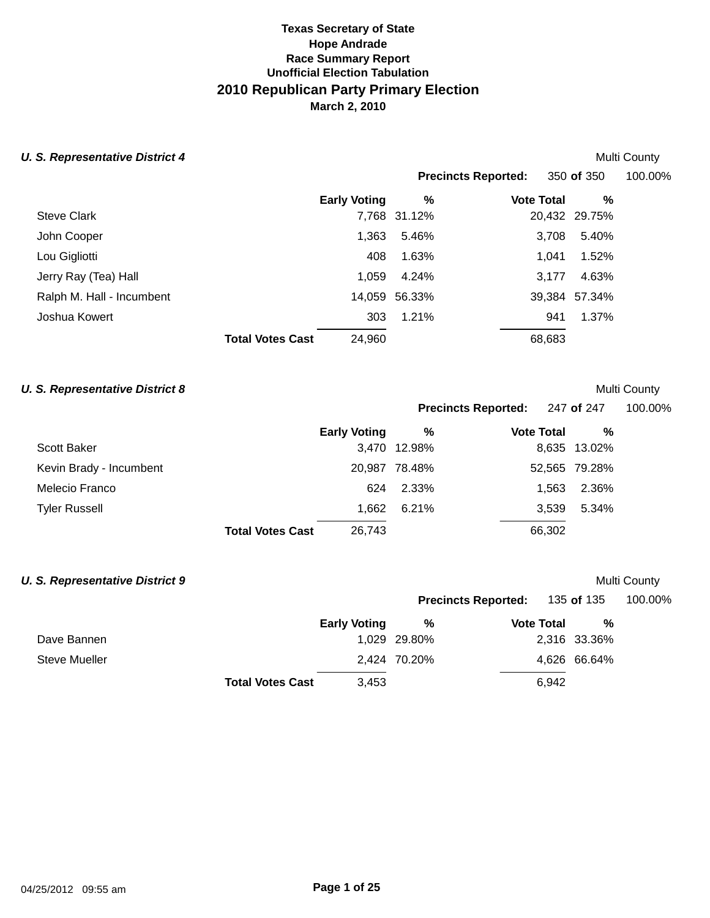# **Texas Secretary of State Race Summary Report Unofficial Election Tabulation 2010 Republican Party Primary Election March 2, 2010 Hope Andrade**

| <b>Precincts Reported:</b><br>350 of 350<br>%<br><b>Early Voting</b><br>%<br><b>Vote Total</b><br><b>Steve Clark</b><br>7,768 31.12%<br>20,432 29.75%<br>1,363<br>John Cooper<br>5.46%<br>3,708<br>5.40%<br>Lou Gigliotti<br>1.63%<br>1.52%<br>408<br>1.041<br>4.63%<br>Jerry Ray (Tea) Hall<br>1.059<br>4.24%<br>3,177<br>Ralph M. Hall - Incumbent<br>14,059<br>56.33%<br>39,384 57.34%<br>1.37%<br>Joshua Kowert<br>1.21%<br>303<br>941<br>24,960<br>68,683<br><b>Total Votes Cast</b> | <b>U. S. Representative District 4</b> |  |  |  | <b>Multi County</b> |
|-------------------------------------------------------------------------------------------------------------------------------------------------------------------------------------------------------------------------------------------------------------------------------------------------------------------------------------------------------------------------------------------------------------------------------------------------------------------------------------------|----------------------------------------|--|--|--|---------------------|
|                                                                                                                                                                                                                                                                                                                                                                                                                                                                                           |                                        |  |  |  | 100.00%             |
|                                                                                                                                                                                                                                                                                                                                                                                                                                                                                           |                                        |  |  |  |                     |
|                                                                                                                                                                                                                                                                                                                                                                                                                                                                                           |                                        |  |  |  |                     |
|                                                                                                                                                                                                                                                                                                                                                                                                                                                                                           |                                        |  |  |  |                     |
|                                                                                                                                                                                                                                                                                                                                                                                                                                                                                           |                                        |  |  |  |                     |
|                                                                                                                                                                                                                                                                                                                                                                                                                                                                                           |                                        |  |  |  |                     |
|                                                                                                                                                                                                                                                                                                                                                                                                                                                                                           |                                        |  |  |  |                     |
|                                                                                                                                                                                                                                                                                                                                                                                                                                                                                           |                                        |  |  |  |                     |
|                                                                                                                                                                                                                                                                                                                                                                                                                                                                                           |                                        |  |  |  |                     |

## **U. S. Representative District 8** *Multi County Multi County*

**Precincts Reported:** 247 **of** 247 100.00%

|                         |                         | <b>Early Voting</b> | %             | <b>Vote Total</b> | %             |
|-------------------------|-------------------------|---------------------|---------------|-------------------|---------------|
| Scott Baker             |                         |                     | 3.470 12.98%  |                   | 8,635 13.02%  |
| Kevin Brady - Incumbent |                         |                     | 20,987 78.48% |                   | 52,565 79.28% |
| Melecio Franco          |                         | 624                 | 2.33%         | 1.563             | 2.36%         |
| <b>Tyler Russell</b>    |                         | 1.662               | 6.21%         | 3.539             | 5.34%         |
|                         | <b>Total Votes Cast</b> | 26,743              |               | 66,302            |               |

## **U. S. Representative District 9** *Multi County Multi County*

|               |                         | <b>Early Voting</b> |              | <b>Precincts Reported:</b> | 135 <b>of</b> 135 | 100.00% |
|---------------|-------------------------|---------------------|--------------|----------------------------|-------------------|---------|
|               |                         |                     | %            | <b>Vote Total</b>          | %                 |         |
| Dave Bannen   |                         |                     | 1,029 29.80% |                            | 2,316 33.36%      |         |
| Steve Mueller |                         |                     | 2,424 70.20% |                            | 4,626 66.64%      |         |
|               | <b>Total Votes Cast</b> | 3.453               |              | 6.942                      |                   |         |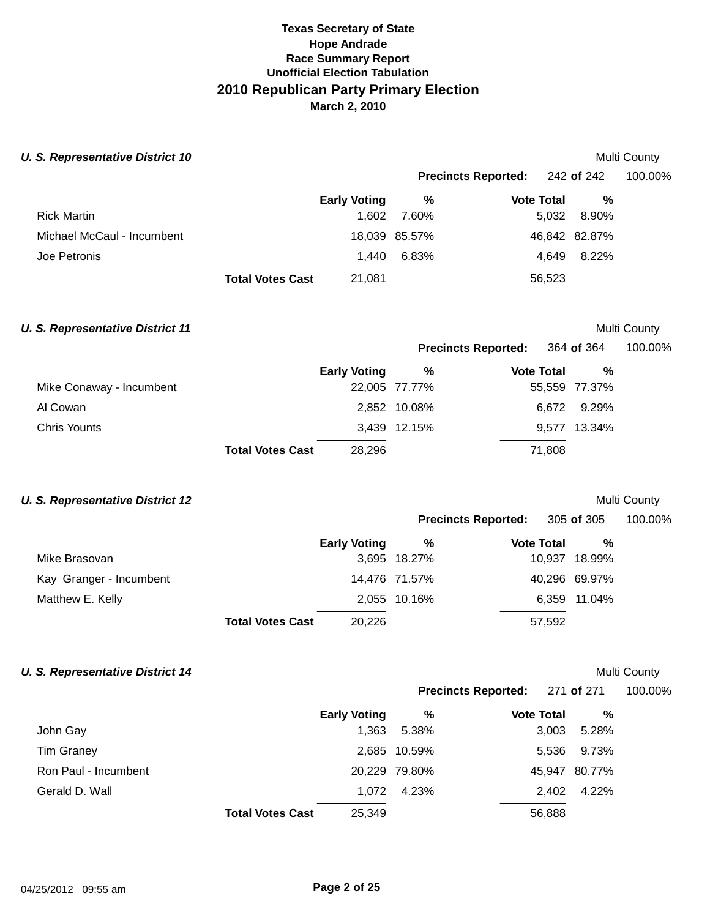**U. S. Representative District 10 Multi County** *Multi County* **Multi County** 

|                            |                         |                     |               | <b>Precincts Reported:</b> | 242 <b>of</b> 242 | 100.00% |  |
|----------------------------|-------------------------|---------------------|---------------|----------------------------|-------------------|---------|--|
|                            |                         | <b>Early Voting</b> | %             | <b>Vote Total</b>          | %                 |         |  |
| <b>Rick Martin</b>         |                         | 1.602               | 7.60%         | 5,032                      | 8.90%             |         |  |
| Michael McCaul - Incumbent |                         |                     | 18,039 85.57% |                            | 46,842 82.87%     |         |  |
| Joe Petronis               |                         | 1.440               | 6.83%         | 4.649                      | 8.22%             |         |  |
|                            | <b>Total Votes Cast</b> | 21,081              |               | 56,523                     |                   |         |  |

## **U. S. Representative District 11 Multi County** *Multi County*

**Precincts Reported:** 364 **of** 364 100.00%

|  |  | 100.00% |  |
|--|--|---------|--|
|  |  |         |  |

|                          |                         | <b>Early Voting</b> | %             | <b>Vote Total</b> | %             |  |
|--------------------------|-------------------------|---------------------|---------------|-------------------|---------------|--|
| Mike Conaway - Incumbent |                         |                     | 22,005 77.77% |                   | 55,559 77.37% |  |
| Al Cowan                 |                         |                     | 2,852 10.08%  |                   | 6.672 9.29%   |  |
| Chris Younts             |                         |                     | 3,439 12.15%  |                   | 9,577 13.34%  |  |
|                          | <b>Total Votes Cast</b> | 28,296              |               | 71,808            |               |  |

## **U. S. Representative District 12 Multi County** *Multi County*

|                         |                         |                     |               | Precincts Reported: 305 of 305 |               | 100.00% |
|-------------------------|-------------------------|---------------------|---------------|--------------------------------|---------------|---------|
|                         |                         | <b>Early Voting</b> | %             | <b>Vote Total</b>              | %             |         |
| Mike Brasovan           |                         |                     | 3,695 18.27%  |                                | 10,937 18.99% |         |
| Kay Granger - Incumbent |                         |                     | 14,476 71.57% |                                | 40,296 69.97% |         |
| Matthew E. Kelly        |                         |                     | 2,055 10.16%  |                                | 6,359 11.04%  |         |
|                         | <b>Total Votes Cast</b> | 20,226              |               | 57,592                         |               |         |

## **U. S. Representative District 14 Multi County** *Multi County* **Multi County**

## **Precincts Reported: 271 of 271**

| 100.00% |
|---------|
|---------|

|                      |                         | <b>Early Voting</b> | %             | <b>Vote Total</b> | %             |
|----------------------|-------------------------|---------------------|---------------|-------------------|---------------|
| John Gay             |                         | 1.363               | 5.38%         | 3,003             | 5.28%         |
| <b>Tim Graney</b>    |                         |                     | 2,685 10.59%  | 5,536             | 9.73%         |
| Ron Paul - Incumbent |                         |                     | 20,229 79.80% |                   | 45,947 80.77% |
| Gerald D. Wall       |                         | 1.072               | 4.23%         | 2.402             | 4.22%         |
|                      | <b>Total Votes Cast</b> | 25,349              |               | 56,888            |               |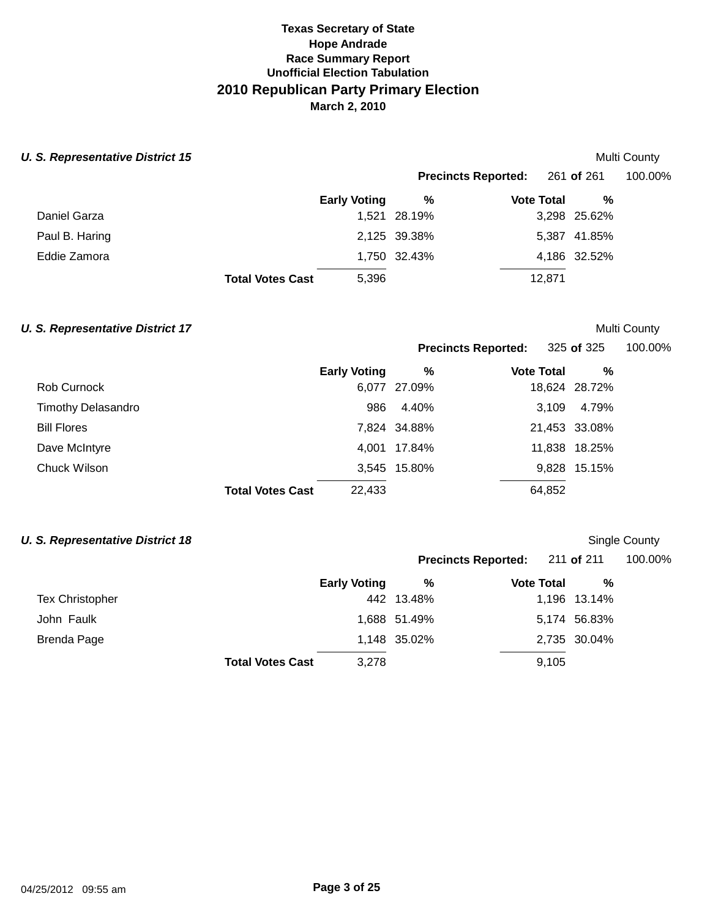### **U. S. Representative District 15 Multi County** *Multi County* **Multi County**

|  | Multi County |
|--|--------------|
|--|--------------|

|                |                         |                     | <b>Precincts Reported:</b> 261 of 261 |                   |              | 100.00% |
|----------------|-------------------------|---------------------|---------------------------------------|-------------------|--------------|---------|
|                |                         | <b>Early Voting</b> | %                                     | <b>Vote Total</b> | %            |         |
| Daniel Garza   |                         |                     | 1,521 28.19%                          |                   | 3,298 25.62% |         |
| Paul B. Haring |                         |                     | 2,125 39.38%                          |                   | 5,387 41.85% |         |
| Eddie Zamora   |                         |                     | 1,750 32.43%                          |                   | 4,186 32.52% |         |
|                | <b>Total Votes Cast</b> | 5,396               |                                       | 12.871            |              |         |

## **U. S. Representative District 17** *COUNTY COUNTY COUNTY* **COUNTY COUNTY COUNTY COUNTY COUNTY COUNTY COUNTY COUNTY**

**Precincts Reported: 325 of 325** 

|                    |                         | <b>Early Voting</b> | %            | <b>Vote Total</b> | %             |
|--------------------|-------------------------|---------------------|--------------|-------------------|---------------|
| Rob Curnock        |                         |                     | 6,077 27.09% |                   | 18,624 28.72% |
| Timothy Delasandro |                         | 986                 | 4.40%        | 3,109             | 4.79%         |
| <b>Bill Flores</b> |                         |                     | 7,824 34.88% |                   | 21,453 33.08% |
| Dave McIntyre      |                         |                     | 4,001 17.84% |                   | 11,838 18.25% |
| Chuck Wilson       |                         |                     | 3,545 15.80% |                   | 9,828 15.15%  |
|                    | <b>Total Votes Cast</b> | 22,433              |              | 64,852            |               |

## **U. S. Representative District 18 Single County County County County County County Single County Single County**

|                         |                     |              | <b>Precincts Reported:</b> 211 of 211 |       |              | 100.00% |
|-------------------------|---------------------|--------------|---------------------------------------|-------|--------------|---------|
|                         | <b>Early Voting</b> | %            | <b>Vote Total</b>                     |       | %            |         |
| <b>Tex Christopher</b>  |                     | 442 13.48%   |                                       |       | 1,196 13.14% |         |
| John Faulk              |                     | 1,688 51.49% |                                       |       | 5,174 56.83% |         |
| Brenda Page             |                     | 1,148 35.02% |                                       |       | 2,735 30.04% |         |
| <b>Total Votes Cast</b> | 3,278               |              |                                       | 9,105 |              |         |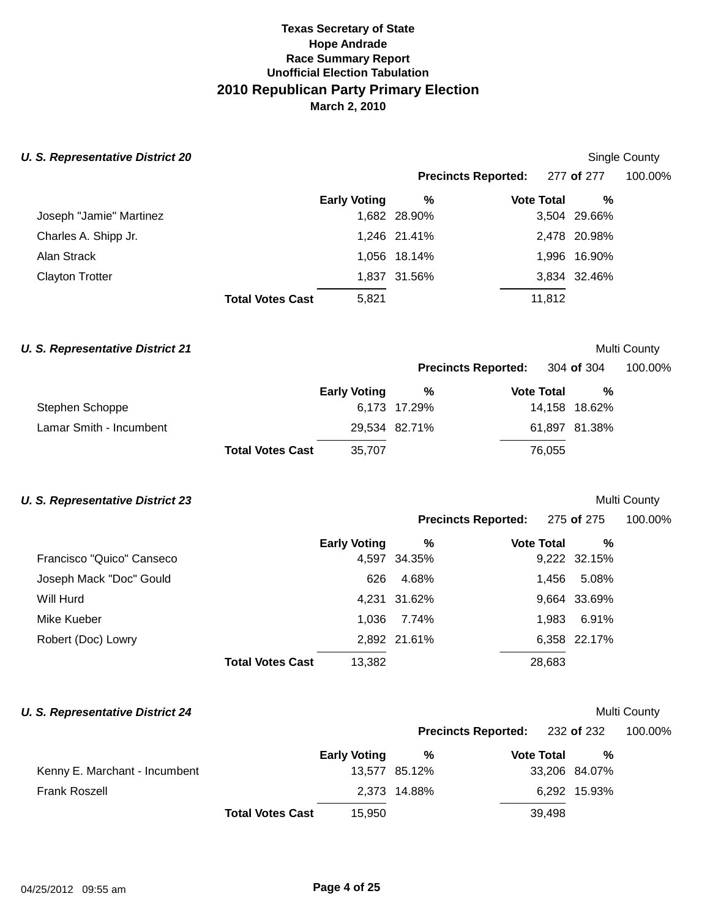### **U. S. Representative District 20 Single County County County County County Single County Single County**

**Precincts Reported:** 277 **of** 277 100.00%

|                         |                         | <b>Early Voting</b> | %            | <b>Vote Total</b> | %            |
|-------------------------|-------------------------|---------------------|--------------|-------------------|--------------|
| Joseph "Jamie" Martinez |                         |                     | 1,682 28.90% |                   | 3,504 29.66% |
| Charles A. Shipp Jr.    |                         |                     | 1,246 21.41% |                   | 2,478 20.98% |
| Alan Strack             |                         |                     | 1,056 18.14% |                   | 1,996 16.90% |
| <b>Clayton Trotter</b>  |                         |                     | 1,837 31.56% |                   | 3,834 32.46% |
|                         | <b>Total Votes Cast</b> | 5,821               |              | 11.812            |              |

## **U. S. Representative District 21 Multi County** *Multi County*

|                         |                         |                     | <b>Precincts Reported:</b> 304 of 304 |                   |        |               | 100.00% |
|-------------------------|-------------------------|---------------------|---------------------------------------|-------------------|--------|---------------|---------|
|                         |                         | <b>Early Voting</b> | %                                     | <b>Vote Total</b> |        | %             |         |
| Stephen Schoppe         |                         |                     | 6,173 17.29%                          |                   |        | 14,158 18.62% |         |
| Lamar Smith - Incumbent |                         |                     | 29,534 82.71%                         |                   |        | 61,897 81.38% |         |
|                         | <b>Total Votes Cast</b> | 35.707              |                                       |                   | 76,055 |               |         |

## **U. S. Representative District 23 Multi County** *Multi County*

|                           |                         |                     |              | Precincts Reported: 275 of 275 |        |              | 100.00% |
|---------------------------|-------------------------|---------------------|--------------|--------------------------------|--------|--------------|---------|
|                           |                         | <b>Early Voting</b> | %            | <b>Vote Total</b>              |        | %            |         |
| Francisco "Quico" Canseco |                         |                     | 4,597 34.35% |                                |        | 9,222 32.15% |         |
| Joseph Mack "Doc" Gould   |                         | 626                 | 4.68%        |                                | 1.456  | 5.08%        |         |
| Will Hurd                 |                         |                     | 4,231 31.62% |                                |        | 9,664 33.69% |         |
| Mike Kueber               |                         | 1.036               | 7.74%        |                                | 1.983  | 6.91%        |         |
| Robert (Doc) Lowry        |                         |                     | 2,892 21.61% |                                |        | 6,358 22.17% |         |
|                           | <b>Total Votes Cast</b> | 13,382              |              |                                | 28,683 |              |         |

## **U. S. Representative District 24 Multi County** *Multi County* **Multi County**

**Precincts Reported:** 232 **of** 232 100.00%

|                               |                         | <b>Early Voting</b> | %             | <b>Vote Total</b> | %             |
|-------------------------------|-------------------------|---------------------|---------------|-------------------|---------------|
| Kenny E. Marchant - Incumbent |                         |                     | 13,577 85.12% |                   | 33,206 84.07% |
| <b>Frank Roszell</b>          |                         |                     | 2.373 14.88%  |                   | 6.292 15.93%  |
|                               | <b>Total Votes Cast</b> | 15,950              |               | 39.498            |               |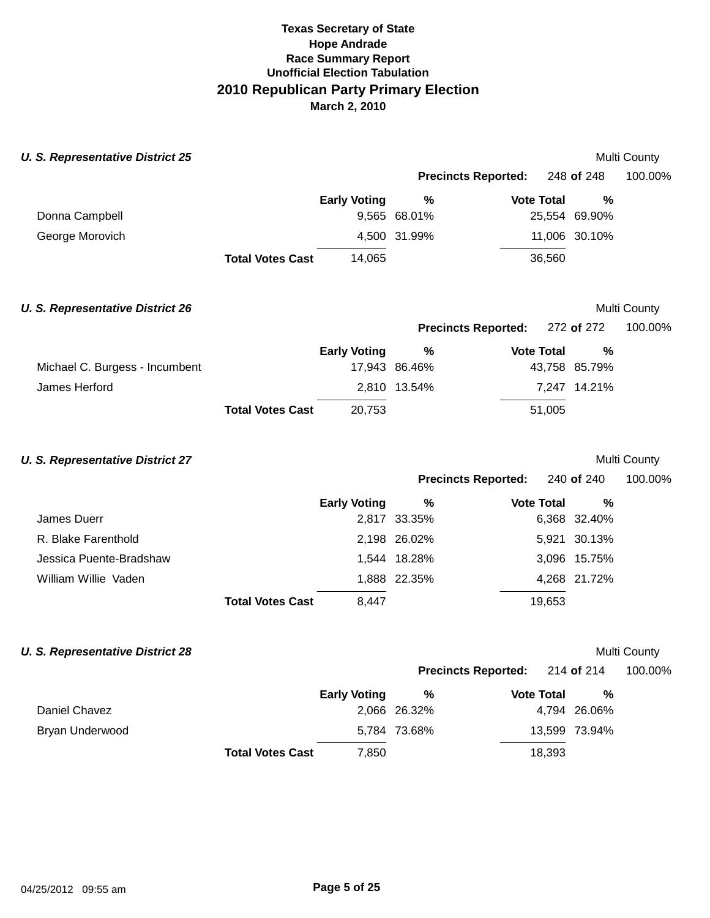| <b>U. S. Representative District 25</b> |                         |                     |                            |                   |               | Multi County |
|-----------------------------------------|-------------------------|---------------------|----------------------------|-------------------|---------------|--------------|
|                                         |                         |                     | <b>Precincts Reported:</b> |                   | 248 of 248    | 100.00%      |
|                                         |                         | <b>Early Voting</b> | $\%$                       | <b>Vote Total</b> | %             |              |
| Donna Campbell                          |                         |                     | 9,565 68.01%               |                   | 25,554 69.90% |              |
| George Morovich                         |                         |                     | 4,500 31.99%               |                   | 11,006 30.10% |              |
|                                         | <b>Total Votes Cast</b> | 14,065              |                            | 36,560            |               |              |
| <b>U. S. Representative District 26</b> |                         |                     |                            |                   |               | Multi County |
|                                         |                         |                     | <b>Precincts Reported:</b> |                   | 272 of 272    | 100.00%      |
|                                         |                         | <b>Early Voting</b> | %                          | <b>Vote Total</b> | %             |              |
| Michael C. Burgess - Incumbent          |                         |                     | 17,943 86.46%              |                   | 43,758 85.79% |              |
| James Herford                           |                         |                     | 2,810 13.54%               |                   | 7,247 14.21%  |              |
|                                         | <b>Total Votes Cast</b> | 20,753              |                            | 51,005            |               |              |
| <b>U. S. Representative District 27</b> |                         |                     |                            |                   |               | Multi County |
|                                         |                         |                     | <b>Precincts Reported:</b> |                   | 240 of 240    | 100.00%      |
|                                         |                         | <b>Early Voting</b> | $\%$                       | <b>Vote Total</b> | %             |              |
| James Duerr                             |                         |                     | 2,817 33.35%               |                   | 6,368 32.40%  |              |
| R. Blake Farenthold                     |                         |                     | 2,198 26.02%               |                   | 5,921 30.13%  |              |
| Jessica Puente-Bradshaw                 |                         |                     | 1,544 18.28%               |                   | 3,096 15.75%  |              |
| William Willie Vaden                    |                         |                     | 1,888 22.35%               |                   | 4,268 21.72%  |              |
|                                         | <b>Total Votes Cast</b> | 8,447               |                            | 19,653            |               |              |
| <b>U. S. Representative District 28</b> |                         |                     |                            |                   |               | Multi County |
|                                         |                         |                     | <b>Precincts Reported:</b> |                   | 214 of 214    | 100.00%      |
|                                         |                         | <b>Early Voting</b> | %                          | <b>Vote Total</b> | $\%$          |              |
| Daniel Chavez                           |                         |                     | 2,066 26.32%               |                   | 4,794 26.06%  |              |
| Bryan Underwood                         |                         |                     | 5,784 73.68%               |                   | 13,599 73.94% |              |
|                                         | <b>Total Votes Cast</b> | 7,850               |                            | 18,393            |               |              |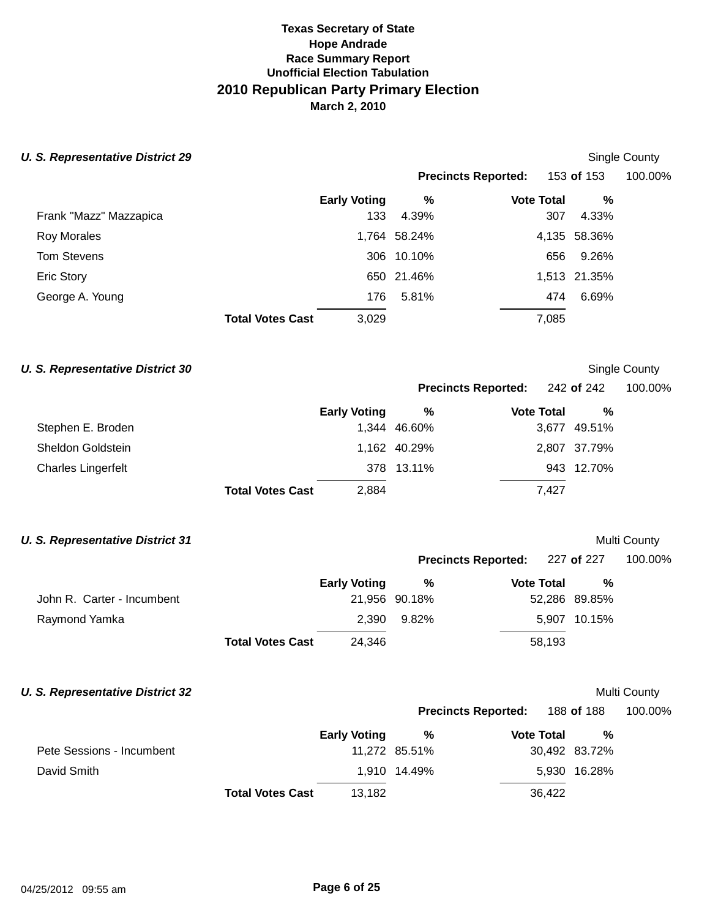## **U. S. Representative District 29**

| Single County |  |
|---------------|--|
|---------------|--|

**Precincts Reported:** 153 **of** 153 100.00%

**Precincts Reported:** 242 **of** 242 100.00%

|                        |                         | <b>Early Voting</b> | %            | <b>Vote Total</b> | %            |
|------------------------|-------------------------|---------------------|--------------|-------------------|--------------|
| Frank "Mazz" Mazzapica |                         | 133                 | 4.39%        | 307               | 4.33%        |
| <b>Roy Morales</b>     |                         |                     | 1,764 58.24% |                   | 4,135 58.36% |
| <b>Tom Stevens</b>     |                         |                     | 306 10.10%   | 656               | 9.26%        |
| <b>Eric Story</b>      |                         |                     | 650 21.46%   |                   | 1,513 21.35% |
| George A. Young        |                         | 176                 | 5.81%        | 474               | 6.69%        |
|                        | <b>Total Votes Cast</b> | 3,029               |              | 7,085             |              |

## **U. S. Representative District 30** Single County

|                    |                         | <b>Early Voting</b> | %            | <b>Vote Total</b> | %            |
|--------------------|-------------------------|---------------------|--------------|-------------------|--------------|
| Stephen E. Broden  |                         |                     | 1,344 46.60% |                   | 3,677 49.51% |
| Sheldon Goldstein  |                         |                     | 1,162 40.29% |                   | 2,807 37.79% |
| Charles Lingerfelt |                         |                     | 378 13.11%   |                   | 943 12.70%   |
|                    | <b>Total Votes Cast</b> | 2.884               |              | 7.427             |              |

# **U. S. Representative District 31** *U. S. Representative District 31*

|                            |                         |                     | Precincts Reported: 227 of 227 |                   |        |               | 100.00% |
|----------------------------|-------------------------|---------------------|--------------------------------|-------------------|--------|---------------|---------|
|                            |                         | <b>Early Voting</b> | %                              | <b>Vote Total</b> |        | %             |         |
| John R. Carter - Incumbent |                         |                     | 21,956 90.18%                  |                   |        | 52,286 89.85% |         |
| Raymond Yamka              |                         | 2.390               | 9.82%                          |                   |        | 5,907 10.15%  |         |
|                            | <b>Total Votes Cast</b> | 24.346              |                                |                   | 58,193 |               |         |

## **U. S. Representative District 32** *U. S. Representative District 32*

|                           |                         |                     |               | <b>Precincts Reported:</b> | 188 <b>of</b> 188 | 100.00% |
|---------------------------|-------------------------|---------------------|---------------|----------------------------|-------------------|---------|
|                           |                         | <b>Early Voting</b> | ℅             | <b>Vote Total</b>          | %                 |         |
| Pete Sessions - Incumbent |                         |                     | 11,272 85.51% |                            | 30,492 83.72%     |         |
| David Smith               |                         |                     | 1,910 14.49%  |                            | 5,930 16.28%      |         |
|                           | <b>Total Votes Cast</b> | 13.182              |               | 36,422                     |                   |         |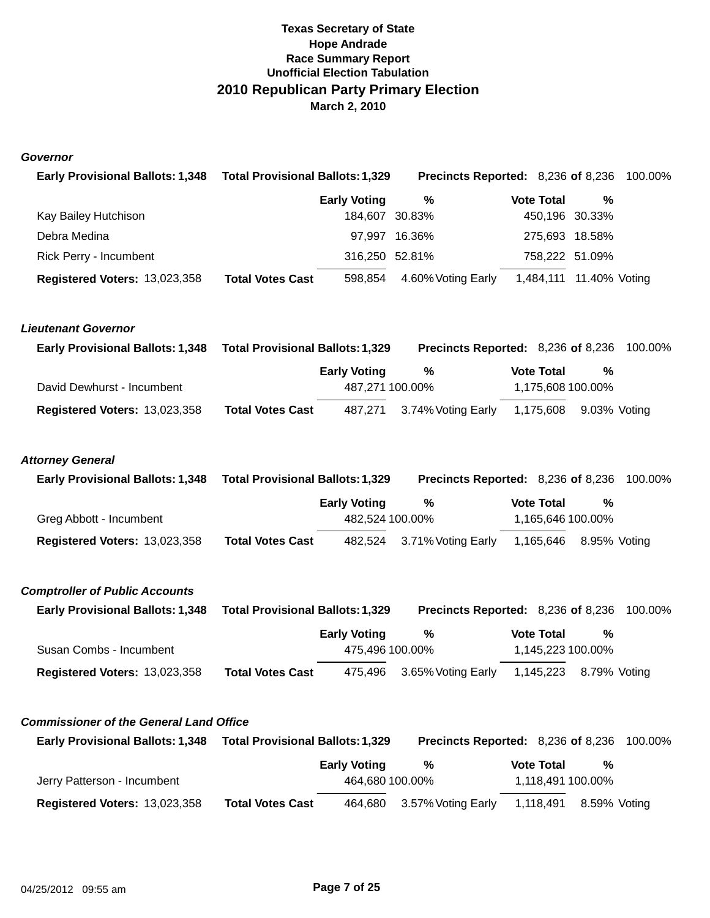### **Governor**

| <b>Early Provisional Ballots: 1,348</b>        | <b>Total Provisional Ballots: 1,329</b> |                                        | Precincts Reported: 8,236 of 8,236 |                                        |                | 100.00% |
|------------------------------------------------|-----------------------------------------|----------------------------------------|------------------------------------|----------------------------------------|----------------|---------|
|                                                |                                         | <b>Early Voting</b>                    | %                                  | <b>Vote Total</b>                      | %              |         |
| Kay Bailey Hutchison                           |                                         | 184,607 30.83%                         |                                    |                                        | 450,196 30.33% |         |
| Debra Medina                                   |                                         | 97,997                                 | 16.36%                             |                                        | 275,693 18.58% |         |
| Rick Perry - Incumbent                         |                                         | 316,250 52.81%                         |                                    |                                        | 758,222 51.09% |         |
| Registered Voters: 13,023,358                  | <b>Total Votes Cast</b>                 | 598,854                                | 4.60% Voting Early                 | 1,484,111  11.40% Voting               |                |         |
| <b>Lieutenant Governor</b>                     |                                         |                                        |                                    |                                        |                |         |
| <b>Early Provisional Ballots: 1,348</b>        | <b>Total Provisional Ballots: 1,329</b> |                                        | Precincts Reported: 8,236 of 8,236 |                                        |                | 100.00% |
| David Dewhurst - Incumbent                     |                                         | <b>Early Voting</b><br>487,271 100.00% | %                                  | <b>Vote Total</b><br>1,175,608 100.00% | %              |         |
| <b>Registered Voters: 13,023,358</b>           | <b>Total Votes Cast</b>                 | 487,271                                | 3.74% Voting Early                 | 1,175,608                              | 9.03% Voting   |         |
| <b>Attorney General</b>                        |                                         |                                        |                                    |                                        |                |         |
| <b>Early Provisional Ballots: 1,348</b>        | <b>Total Provisional Ballots: 1,329</b> |                                        | Precincts Reported: 8,236 of 8,236 |                                        |                | 100.00% |
| Greg Abbott - Incumbent                        |                                         | <b>Early Voting</b><br>482,524 100.00% | $\%$                               | <b>Vote Total</b><br>1,165,646 100.00% | $\%$           |         |
| Registered Voters: 13,023,358                  | <b>Total Votes Cast</b>                 | 482,524                                | 3.71% Voting Early                 | 1,165,646                              | 8.95% Voting   |         |
| <b>Comptroller of Public Accounts</b>          |                                         |                                        |                                    |                                        |                |         |
| <b>Early Provisional Ballots: 1,348</b>        | <b>Total Provisional Ballots: 1,329</b> |                                        | Precincts Reported: 8,236 of 8,236 |                                        |                | 100.00% |
| Susan Combs - Incumbent                        |                                         | <b>Early Voting</b><br>475,496 100.00% | $\%$                               | <b>Vote Total</b><br>1,145,223 100.00% | $\%$           |         |
| <b>Registered Voters: 13,023,358</b>           | <b>Total Votes Cast</b>                 | 475,496                                | 3.65% Voting Early                 | 1,145,223                              | 8.79% Voting   |         |
| <b>Commissioner of the General Land Office</b> |                                         |                                        |                                    |                                        |                |         |
| <b>Early Provisional Ballots: 1,348</b>        | Total Provisional Ballots: 1,329        |                                        | Precincts Reported: 8,236 of 8,236 |                                        |                | 100.00% |
|                                                |                                         | <b>Early Voting</b>                    | %                                  | <b>Vote Total</b>                      | %              |         |
| Jerry Patterson - Incumbent                    |                                         | 464,680 100.00%                        |                                    | 1,118,491 100.00%                      |                |         |
| Registered Voters: 13,023,358                  | <b>Total Votes Cast</b>                 | 464,680                                | 3.57% Voting Early                 | 1,118,491                              | 8.59% Voting   |         |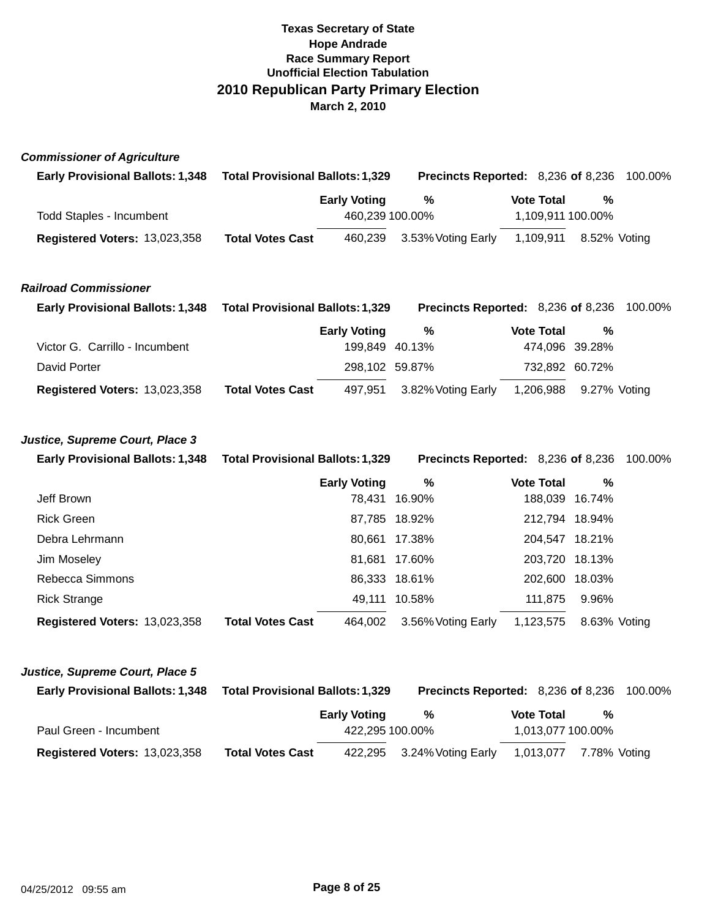| <b>Commissioner of Agriculture</b>      |                                         |                     |                                    |                   |                |         |
|-----------------------------------------|-----------------------------------------|---------------------|------------------------------------|-------------------|----------------|---------|
| <b>Early Provisional Ballots: 1,348</b> | <b>Total Provisional Ballots: 1,329</b> |                     | Precincts Reported: 8,236 of 8,236 |                   |                | 100.00% |
|                                         |                                         | <b>Early Voting</b> | $\%$                               | <b>Vote Total</b> | %              |         |
| <b>Todd Staples - Incumbent</b>         |                                         | 460,239 100.00%     |                                    | 1,109,911 100.00% |                |         |
| Registered Voters: 13,023,358           | <b>Total Votes Cast</b>                 | 460,239             | 3.53% Voting Early                 | 1,109,911         | 8.52% Voting   |         |
| <b>Railroad Commissioner</b>            |                                         |                     |                                    |                   |                |         |
| <b>Early Provisional Ballots: 1,348</b> | <b>Total Provisional Ballots: 1,329</b> |                     | Precincts Reported: 8,236 of 8,236 |                   |                | 100.00% |
|                                         |                                         | <b>Early Voting</b> | %                                  | <b>Vote Total</b> | %              |         |
| Victor G. Carrillo - Incumbent          |                                         | 199,849 40.13%      |                                    | 474,096 39.28%    |                |         |
| David Porter                            |                                         | 298,102 59.87%      |                                    | 732,892 60.72%    |                |         |
| Registered Voters: 13,023,358           | <b>Total Votes Cast</b>                 | 497,951             | 3.82% Voting Early                 | 1,206,988         | 9.27% Voting   |         |
| Justice, Supreme Court, Place 3         |                                         |                     |                                    |                   |                |         |
| <b>Early Provisional Ballots: 1,348</b> | <b>Total Provisional Ballots: 1,329</b> |                     | Precincts Reported: 8,236 of 8,236 |                   |                | 100.00% |
|                                         |                                         | <b>Early Voting</b> | $\%$                               | <b>Vote Total</b> | %              |         |
| Jeff Brown                              |                                         | 78,431              | 16.90%                             |                   | 188,039 16.74% |         |
| <b>Rick Green</b>                       |                                         |                     | 87,785 18.92%                      | 212,794 18.94%    |                |         |
| Debra Lehrmann                          |                                         |                     | 80,661 17.38%                      | 204,547 18.21%    |                |         |
| Jim Moseley                             |                                         | 81,681              | 17.60%                             |                   | 203,720 18.13% |         |
| Rebecca Simmons                         |                                         |                     | 86,333 18.61%                      | 202,600 18.03%    |                |         |
| <b>Rick Strange</b>                     |                                         | 49,111              | 10.58%                             | 111,875           | 9.96%          |         |
| Registered Voters: 13,023,358           | <b>Total Votes Cast</b>                 | 464,002             | 3.56% Voting Early                 | 1,123,575         | 8.63% Voting   |         |
| Justice, Supreme Court, Place 5         |                                         |                     |                                    |                   |                |         |
| <b>Early Provisional Ballots: 1,348</b> | <b>Total Provisional Ballots: 1,329</b> |                     | Precincts Reported: 8,236 of 8,236 |                   |                | 100.00% |
|                                         |                                         | <b>Early Voting</b> | %                                  | <b>Vote Total</b> | ℅              |         |
| Paul Green - Incumbent                  |                                         | 422,295 100.00%     |                                    | 1,013,077 100.00% |                |         |

**Registered Voters:** 13,023,358 **Total Votes Cast** 422,295 3.24%Voting Early 1,013,077 7.78% Voting

**Total Votes Cast**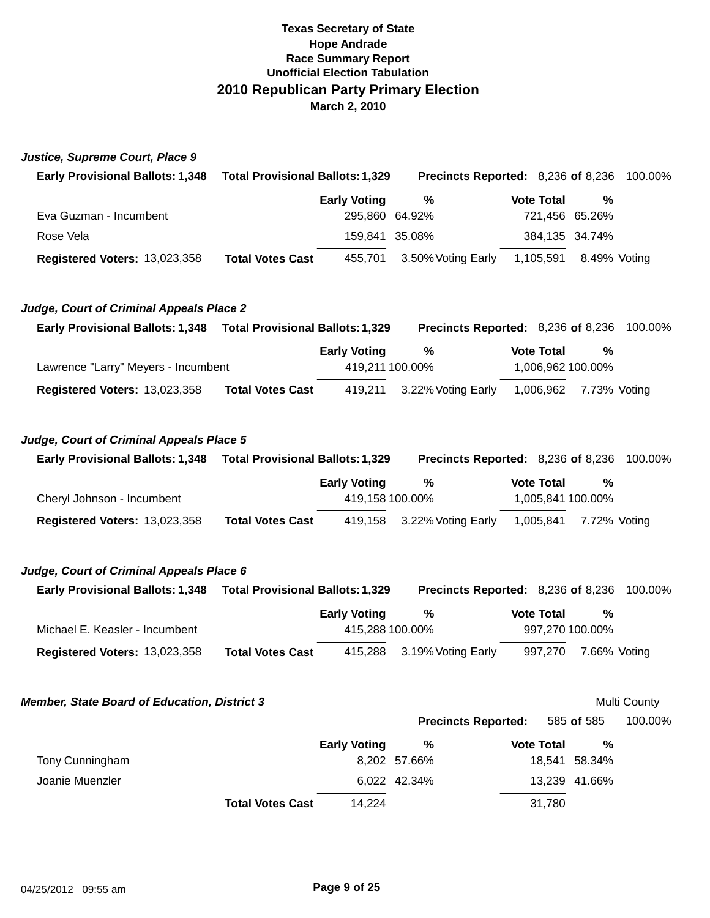### **Justice, Supreme Court, Place 9**

| <b>Early Provisional Ballots: 1,348</b> | <b>Total Provisional Ballots: 1,329</b> |                    | <b>Precincts Reported: 8,236 of 8,236 100.00%</b> |                |  |
|-----------------------------------------|-----------------------------------------|--------------------|---------------------------------------------------|----------------|--|
|                                         | <b>Early Voting</b>                     | %                  | <b>Vote Total</b>                                 | %              |  |
| Eva Guzman - Incumbent                  |                                         | 295,860 64.92%     |                                                   | 721,456 65.26% |  |
| Rose Vela                               |                                         | 159.841 35.08%     |                                                   | 384,135 34.74% |  |
| <b>Registered Voters: 13,023,358</b>    | <b>Total Votes Cast</b><br>455.701      | 3.50% Voting Early | 1,105,591                                         | 8.49% Votina   |  |

### **Judge, Court of Criminal Appeals Place 2**

| <b>Early Provisional Ballots: 1,348</b> | <b>Total Provisional Ballots: 1,329</b> |                     | <b>Precincts Reported: 8,236 of 8,236 100.00%</b> |                   |                        |  |
|-----------------------------------------|-----------------------------------------|---------------------|---------------------------------------------------|-------------------|------------------------|--|
|                                         |                                         | <b>Early Voting</b> | %                                                 | <b>Vote Total</b> | %                      |  |
| Lawrence "Larry" Meyers - Incumbent     |                                         | 419,211 100.00%     |                                                   |                   | 1,006,962 100.00%      |  |
| <b>Registered Voters: 13,023,358</b>    | <b>Total Votes Cast</b>                 |                     | 419,211 3.22% Voting Early                        |                   | 1,006,962 7.73% Voting |  |

### **Judge, Court of Criminal Appeals Place 5**

| <b>Early Provisional Ballots: 1,348</b> | <b>Total Provisional Ballots: 1,329</b> |                     | <b>Precincts Reported: 8,236 of 8,236</b> |                   |  |                        | 100.00% |
|-----------------------------------------|-----------------------------------------|---------------------|-------------------------------------------|-------------------|--|------------------------|---------|
|                                         |                                         | <b>Early Voting</b> | %                                         | <b>Vote Total</b> |  | %                      |         |
| Cheryl Johnson - Incumbent              |                                         | 419.158 100.00%     |                                           |                   |  | 1,005,841 100.00%      |         |
| Registered Voters: 13,023,358           | <b>Total Votes Cast</b>                 |                     | 419,158 3.22% Voting Early                |                   |  | 1,005,841 7.72% Voting |         |

## **Judge, Court of Criminal Appeals Place 6**

| <b>Early Provisional Ballots: 1,348</b> | <b>Total Provisional Ballots: 1,329</b> |                     | <b>Precincts Reported: 8,236 of 8,236 100.00%</b> |  |                   |                 |  |
|-----------------------------------------|-----------------------------------------|---------------------|---------------------------------------------------|--|-------------------|-----------------|--|
|                                         |                                         | <b>Early Voting</b> | %                                                 |  | <b>Vote Total</b> | %               |  |
| Michael E. Keasler - Incumbent          |                                         | 415.288 100.00%     |                                                   |  |                   | 997,270 100.00% |  |
| <b>Registered Voters: 13,023,358</b>    | <b>Total Votes Cast</b>                 |                     | 415,288 3.19% Voting Early                        |  | 997,270           | 7.66% Voting    |  |

### **Member, State Board of Education, District 3**

Multi County

**Precincts Reported:**  585 **of** 585 100.00%

|                 |                         | <b>Early Voting</b> | %            | <b>Vote Total</b> | %             |
|-----------------|-------------------------|---------------------|--------------|-------------------|---------------|
| Tony Cunningham |                         |                     | 8,202 57.66% |                   | 18,541 58.34% |
| Joanie Muenzler |                         |                     | 6.022 42.34% |                   | 13,239 41.66% |
|                 | <b>Total Votes Cast</b> | 14.224              |              | 31,780            |               |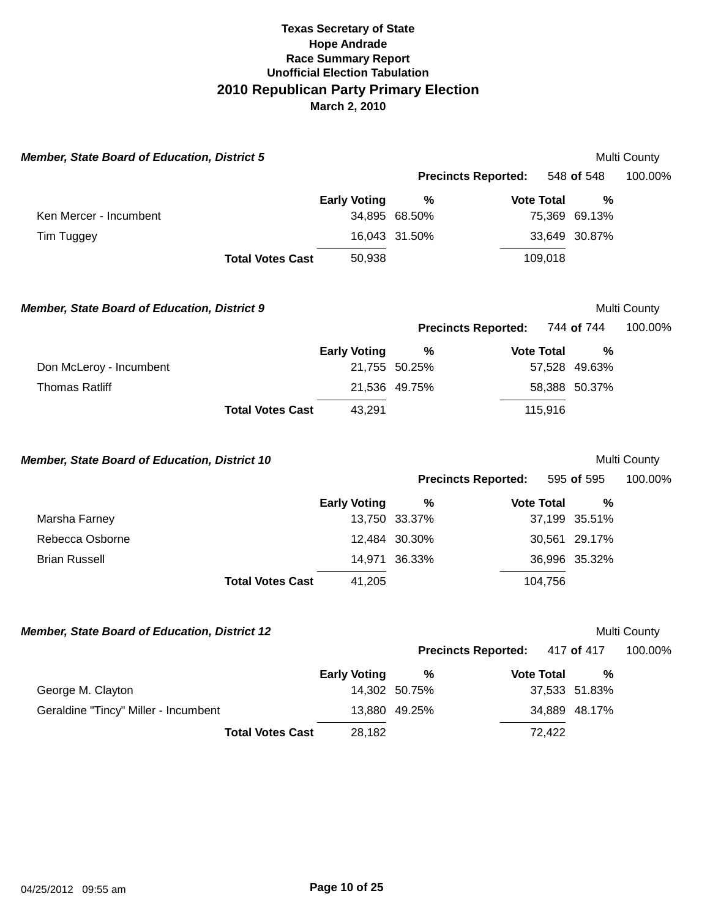| <b>Member, State Board of Education, District 5</b> |                         |                     |                    |                            |                       | Multi County            |
|-----------------------------------------------------|-------------------------|---------------------|--------------------|----------------------------|-----------------------|-------------------------|
|                                                     |                         |                     |                    | <b>Precincts Reported:</b> | 548 of 548            | 100.00%                 |
| Ken Mercer - Incumbent                              |                         | <b>Early Voting</b> | %<br>34,895 68.50% | <b>Vote Total</b>          | $\%$<br>75,369 69.13% |                         |
| Tim Tuggey                                          |                         |                     | 16,043 31.50%      |                            | 33,649 30.87%         |                         |
|                                                     | <b>Total Votes Cast</b> | 50,938              |                    | 109,018                    |                       |                         |
| <b>Member, State Board of Education, District 9</b> |                         |                     |                    |                            |                       | Multi County            |
|                                                     |                         |                     |                    | <b>Precincts Reported:</b> | 744 of 744            | 100.00%                 |
| Don McLeroy - Incumbent                             |                         | <b>Early Voting</b> | %<br>21,755 50.25% | <b>Vote Total</b>          | %<br>57,528 49.63%    |                         |
| <b>Thomas Ratliff</b>                               |                         |                     | 21,536 49.75%      |                            | 58,388 50.37%         |                         |
|                                                     | <b>Total Votes Cast</b> | 43,291              |                    | 115,916                    |                       |                         |
| Member, State Board of Education, District 10       |                         |                     |                    | <b>Precincts Reported:</b> | 595 of 595            | Multi County<br>100.00% |
|                                                     |                         | <b>Early Voting</b> | %                  | <b>Vote Total</b>          | %                     |                         |
| Marsha Farney                                       |                         |                     | 13,750 33.37%      |                            | 37,199 35.51%         |                         |
| Rebecca Osborne                                     |                         |                     | 12,484 30.30%      |                            | 30,561 29.17%         |                         |
| <b>Brian Russell</b>                                |                         |                     | 14,971 36.33%      |                            | 36,996 35.32%         |                         |
|                                                     | <b>Total Votes Cast</b> | 41,205              |                    | 104,756                    |                       |                         |
| Member, State Board of Education, District 12       |                         |                     |                    |                            |                       | Multi County            |
|                                                     |                         |                     |                    | <b>Precincts Reported:</b> | 417 of 417            | 100.00%                 |
| George M. Clayton                                   |                         | <b>Early Voting</b> | %<br>14,302 50.75% | <b>Vote Total</b>          | %<br>37,533 51.83%    |                         |
| Geraldine "Tincy" Miller - Incumbent                |                         |                     | 13,880 49.25%      |                            | 34,889 48.17%         |                         |
|                                                     |                         |                     |                    |                            |                       |                         |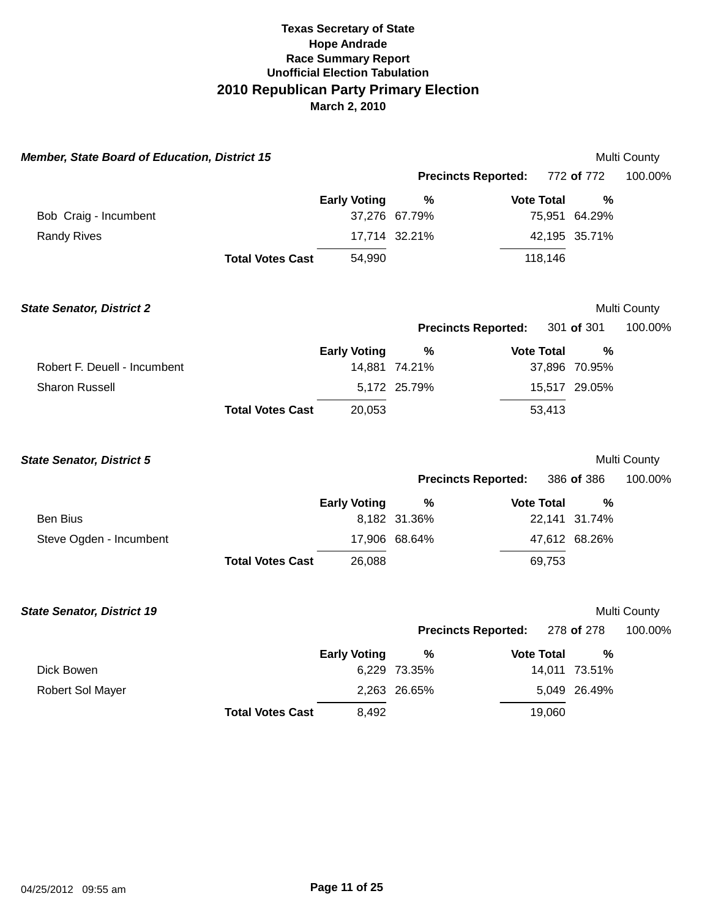| <b>Member, State Board of Education, District 15</b> |                         |                     |                            |                   |               | Multi County |
|------------------------------------------------------|-------------------------|---------------------|----------------------------|-------------------|---------------|--------------|
|                                                      |                         |                     | <b>Precincts Reported:</b> |                   | 772 of 772    | 100.00%      |
|                                                      |                         | <b>Early Voting</b> | $\frac{0}{0}$              | <b>Vote Total</b> | $\frac{0}{0}$ |              |
| Bob Craig - Incumbent                                |                         |                     | 37,276 67.79%              |                   | 75,951 64.29% |              |
| <b>Randy Rives</b>                                   |                         |                     | 17,714 32.21%              |                   | 42,195 35.71% |              |
|                                                      | <b>Total Votes Cast</b> | 54,990              |                            | 118,146           |               |              |
|                                                      |                         |                     |                            |                   |               |              |
| <b>State Senator, District 2</b>                     |                         |                     |                            |                   |               | Multi County |
|                                                      |                         |                     | <b>Precincts Reported:</b> |                   | 301 of 301    | 100.00%      |
|                                                      |                         | <b>Early Voting</b> | %                          | <b>Vote Total</b> | $\%$          |              |
| Robert F. Deuell - Incumbent                         |                         |                     | 14,881 74.21%              |                   | 37,896 70.95% |              |
| Sharon Russell                                       |                         |                     | 5,172 25.79%               |                   | 15,517 29.05% |              |
|                                                      | <b>Total Votes Cast</b> | 20,053              |                            | 53,413            |               |              |
|                                                      |                         |                     |                            |                   |               |              |
| <b>State Senator, District 5</b>                     |                         |                     |                            |                   |               | Multi County |
|                                                      |                         |                     | <b>Precincts Reported:</b> |                   | 386 of 386    | 100.00%      |
|                                                      |                         | <b>Early Voting</b> | $\%$                       | <b>Vote Total</b> | %             |              |
| <b>Ben Bius</b>                                      |                         |                     | 8,182 31.36%               |                   | 22,141 31.74% |              |
| Steve Ogden - Incumbent                              |                         |                     | 17,906 68.64%              |                   | 47,612 68.26% |              |
|                                                      | <b>Total Votes Cast</b> | 26,088              |                            | 69,753            |               |              |
|                                                      |                         |                     |                            |                   |               |              |
| <b>State Senator, District 19</b>                    |                         |                     |                            |                   |               | Multi County |
|                                                      |                         |                     | <b>Precincts Reported:</b> |                   | 278 of 278    | 100.00%      |
|                                                      |                         | <b>Early Voting</b> | %                          | <b>Vote Total</b> | $\frac{0}{0}$ |              |
| Dick Bowen                                           |                         |                     | 6,229 73.35%               |                   | 14,011 73.51% |              |
| Robert Sol Mayer                                     |                         |                     | 2,263 26.65%               |                   | 5,049 26.49%  |              |
|                                                      | <b>Total Votes Cast</b> | 8,492               |                            | 19,060            |               |              |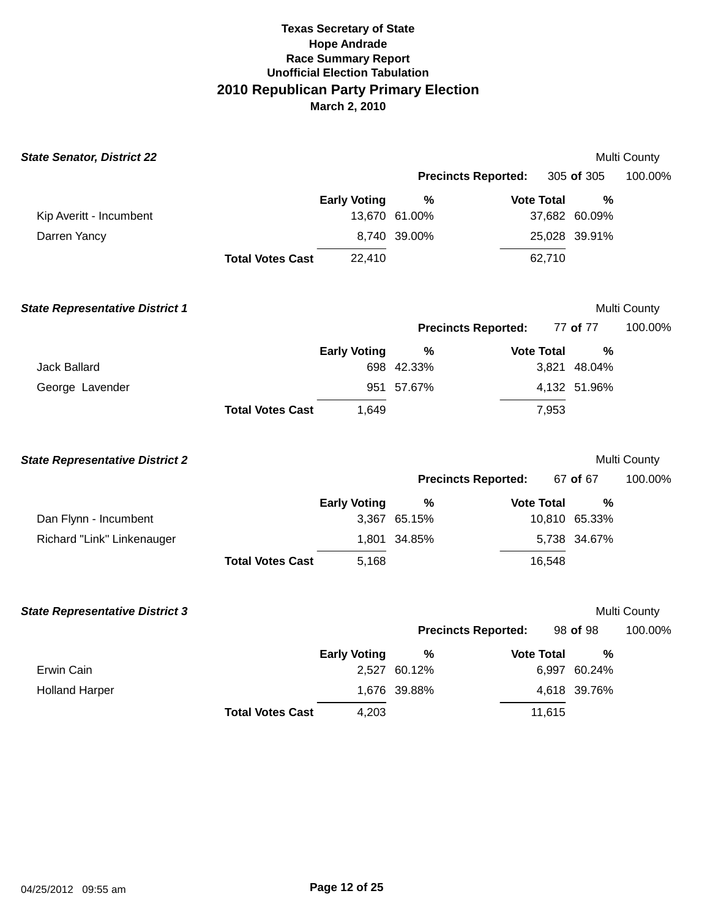| <b>State Senator, District 22</b>      |                         |                     |                            |                   |               | Multi County |
|----------------------------------------|-------------------------|---------------------|----------------------------|-------------------|---------------|--------------|
|                                        |                         |                     | <b>Precincts Reported:</b> |                   | 305 of 305    | 100.00%      |
|                                        |                         | <b>Early Voting</b> | $\%$                       | <b>Vote Total</b> | $\frac{0}{0}$ |              |
| Kip Averitt - Incumbent                |                         |                     | 13,670 61.00%              |                   | 37,682 60.09% |              |
| Darren Yancy                           |                         |                     | 8,740 39.00%               |                   | 25,028 39.91% |              |
|                                        | <b>Total Votes Cast</b> | 22,410              |                            | 62,710            |               |              |
| <b>State Representative District 1</b> |                         |                     |                            |                   |               | Multi County |
|                                        |                         |                     | <b>Precincts Reported:</b> |                   | 77 of 77      | 100.00%      |
|                                        |                         | <b>Early Voting</b> | %                          | <b>Vote Total</b> | %             |              |
| <b>Jack Ballard</b>                    |                         |                     | 698 42.33%                 |                   | 3,821 48.04%  |              |
| George Lavender                        |                         |                     | 951 57.67%                 |                   | 4,132 51.96%  |              |
|                                        | <b>Total Votes Cast</b> | 1,649               |                            | 7,953             |               |              |
| <b>State Representative District 2</b> |                         |                     |                            |                   |               | Multi County |
|                                        |                         |                     | <b>Precincts Reported:</b> |                   | 67 of 67      | 100.00%      |
|                                        |                         | <b>Early Voting</b> | %                          | <b>Vote Total</b> | %             |              |
| Dan Flynn - Incumbent                  |                         |                     | 3,367 65.15%               |                   | 10,810 65.33% |              |
| Richard "Link" Linkenauger             |                         |                     | 1,801 34.85%               |                   | 5,738 34.67%  |              |
|                                        | <b>Total Votes Cast</b> | 5,168               |                            | 16,548            |               |              |
| <b>State Representative District 3</b> |                         |                     |                            |                   |               | Multi County |
|                                        |                         |                     | <b>Precincts Reported:</b> |                   | 98 of 98      | 100.00%      |
|                                        |                         | <b>Early Voting</b> | $\frac{0}{0}$              | <b>Vote Total</b> | $\%$          |              |
| Erwin Cain                             |                         |                     | 2,527 60.12%               |                   | 6,997 60.24%  |              |
| <b>Holland Harper</b>                  |                         |                     | 1,676 39.88%               |                   | 4,618 39.76%  |              |
|                                        | <b>Total Votes Cast</b> | 4,203               |                            | 11,615            |               |              |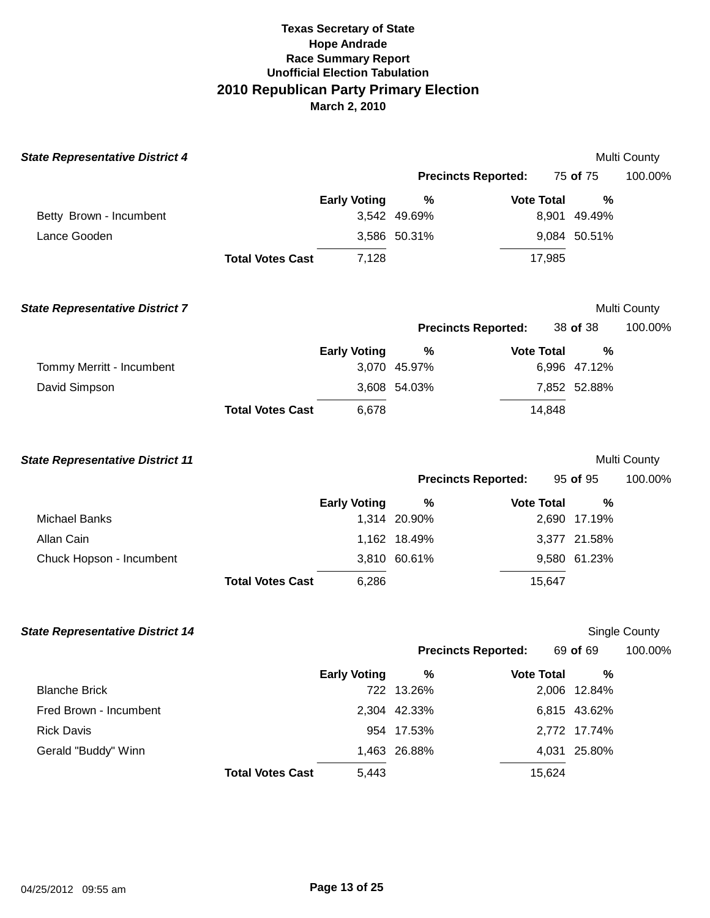| <b>State Representative District 4</b>  |                         |                     |              |                            |              | Multi County         |
|-----------------------------------------|-------------------------|---------------------|--------------|----------------------------|--------------|----------------------|
|                                         |                         |                     |              | <b>Precincts Reported:</b> | 75 of 75     | 100.00%              |
|                                         |                         | <b>Early Voting</b> | %            | <b>Vote Total</b>          | %            |                      |
| Betty Brown - Incumbent                 |                         |                     | 3,542 49.69% |                            | 8,901 49.49% |                      |
| Lance Gooden                            |                         |                     | 3,586 50.31% |                            | 9,084 50.51% |                      |
|                                         | <b>Total Votes Cast</b> | 7,128               |              | 17,985                     |              |                      |
| <b>State Representative District 7</b>  |                         |                     |              |                            |              | Multi County         |
|                                         |                         |                     |              | <b>Precincts Reported:</b> | 38 of 38     | 100.00%              |
|                                         |                         | <b>Early Voting</b> | $\%$         | <b>Vote Total</b>          | %            |                      |
| Tommy Merritt - Incumbent               |                         |                     | 3,070 45.97% |                            | 6,996 47.12% |                      |
| David Simpson                           |                         |                     | 3,608 54.03% |                            | 7,852 52.88% |                      |
|                                         | <b>Total Votes Cast</b> | 6,678               |              | 14,848                     |              |                      |
| <b>State Representative District 11</b> |                         |                     |              |                            |              | Multi County         |
|                                         |                         |                     |              | <b>Precincts Reported:</b> | 95 of 95     | 100.00%              |
|                                         |                         |                     |              |                            |              |                      |
|                                         |                         | <b>Early Voting</b> | %            | <b>Vote Total</b>          | %            |                      |
| <b>Michael Banks</b>                    |                         |                     | 1,314 20.90% |                            | 2,690 17.19% |                      |
| Allan Cain                              |                         |                     | 1,162 18.49% |                            | 3,377 21.58% |                      |
| Chuck Hopson - Incumbent                |                         |                     | 3,810 60.61% |                            | 9,580 61.23% |                      |
|                                         | <b>Total Votes Cast</b> | 6,286               |              | 15,647                     |              |                      |
| <b>State Representative District 14</b> |                         |                     |              |                            |              | <b>Single County</b> |
|                                         |                         |                     |              | <b>Precincts Reported:</b> | 69 of 69     | 100.00%              |
|                                         |                         | <b>Early Voting</b> | %            | <b>Vote Total</b>          | %            |                      |
| <b>Blanche Brick</b>                    |                         |                     | 722 13.26%   |                            | 2,006 12.84% |                      |
| Fred Brown - Incumbent                  |                         |                     | 2,304 42.33% |                            | 6,815 43.62% |                      |
| <b>Rick Davis</b>                       |                         |                     | 954 17.53%   |                            | 2,772 17.74% |                      |
| Gerald "Buddy" Winn                     |                         | 5,443               | 1,463 26.88% | 15,624                     | 4,031 25.80% |                      |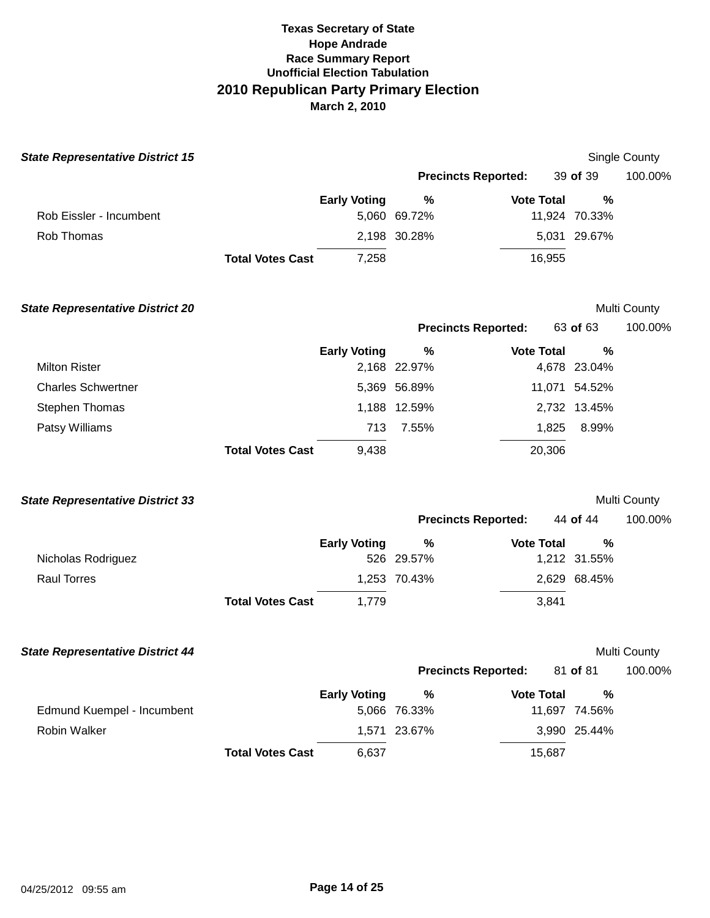| <b>State Representative District 15</b> |                         |                     |                            |                   |                   | Single County |
|-----------------------------------------|-------------------------|---------------------|----------------------------|-------------------|-------------------|---------------|
|                                         |                         |                     | <b>Precincts Reported:</b> |                   | 39 of 39          | 100.00%       |
|                                         |                         | <b>Early Voting</b> | %                          | <b>Vote Total</b> | %                 |               |
| Rob Eissler - Incumbent                 |                         |                     | 5,060 69.72%               |                   | 11,924 70.33%     |               |
| Rob Thomas                              |                         |                     | 2,198 30.28%               |                   | 5,031 29.67%      |               |
|                                         | <b>Total Votes Cast</b> | 7,258               |                            | 16,955            |                   |               |
| <b>State Representative District 20</b> |                         |                     |                            |                   |                   | Multi County  |
|                                         |                         |                     | <b>Precincts Reported:</b> |                   | 63 of 63          | 100.00%       |
| <b>Milton Rister</b>                    |                         | <b>Early Voting</b> | %<br>2,168 22.97%          | <b>Vote Total</b> | %<br>4,678 23.04% |               |
| <b>Charles Schwertner</b>               |                         |                     | 5,369 56.89%               |                   | 11,071 54.52%     |               |
| Stephen Thomas                          |                         |                     | 1,188 12.59%               |                   | 2,732 13.45%      |               |
| Patsy Williams                          |                         | 713                 | 7.55%                      | 1,825             | 8.99%             |               |
|                                         | <b>Total Votes Cast</b> | 9,438               |                            | 20,306            |                   |               |
| <b>State Representative District 33</b> |                         |                     |                            |                   |                   | Multi County  |
|                                         |                         |                     | <b>Precincts Reported:</b> |                   | 44 of 44          | 100.00%       |
|                                         |                         | <b>Early Voting</b> | %                          | <b>Vote Total</b> | %                 |               |
| Nicholas Rodriguez                      |                         |                     | 526 29.57%                 |                   | 1,212 31.55%      |               |
| <b>Raul Torres</b>                      |                         |                     | 1,253 70.43%               |                   | 2,629 68.45%      |               |
|                                         | <b>Total Votes Cast</b> | 1,779               |                            | 3,841             |                   |               |
| <b>State Representative District 44</b> |                         |                     |                            |                   |                   | Multi County  |
|                                         |                         |                     | <b>Precincts Reported:</b> |                   | 81 of 81          | 100.00%       |
|                                         |                         | <b>Early Voting</b> | %                          | <b>Vote Total</b> | %                 |               |
| Edmund Kuempel - Incumbent              |                         |                     | 5,066 76.33%               |                   | 11,697 74.56%     |               |
| Robin Walker                            |                         |                     | 1,571 23.67%               |                   | 3,990 25.44%      |               |
|                                         | <b>Total Votes Cast</b> | 6,637               |                            | 15,687            |                   |               |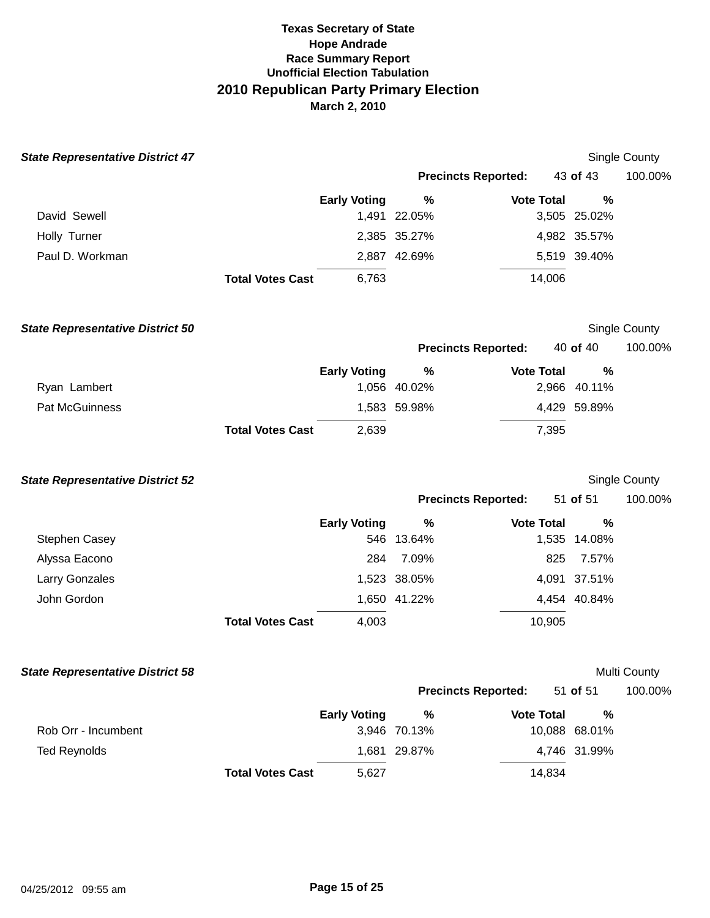| <b>State Representative District 47</b> |                         |                     |                            |                   |               | Single County |
|-----------------------------------------|-------------------------|---------------------|----------------------------|-------------------|---------------|---------------|
|                                         |                         |                     | <b>Precincts Reported:</b> |                   | 43 of 43      | 100.00%       |
|                                         |                         | <b>Early Voting</b> | $\%$                       | <b>Vote Total</b> | %             |               |
| David Sewell                            |                         |                     | 1,491 22.05%               |                   | 3,505 25.02%  |               |
| Holly Turner                            |                         |                     | 2,385 35.27%               |                   | 4,982 35.57%  |               |
| Paul D. Workman                         |                         |                     | 2,887 42.69%               |                   | 5,519 39.40%  |               |
|                                         | <b>Total Votes Cast</b> | 6,763               |                            | 14,006            |               |               |
| <b>State Representative District 50</b> |                         |                     |                            |                   |               | Single County |
|                                         |                         |                     | <b>Precincts Reported:</b> |                   | 40 of 40      | 100.00%       |
|                                         |                         | <b>Early Voting</b> | $\%$                       | <b>Vote Total</b> | %             |               |
| Ryan Lambert                            |                         |                     | 1,056 40.02%               |                   | 2,966 40.11%  |               |
| Pat McGuinness                          |                         |                     | 1,583 59.98%               |                   | 4,429 59.89%  |               |
|                                         | <b>Total Votes Cast</b> | 2,639               |                            | 7,395             |               |               |
| <b>State Representative District 52</b> |                         |                     |                            |                   |               | Single County |
|                                         |                         |                     | <b>Precincts Reported:</b> |                   | 51 of 51      | 100.00%       |
|                                         |                         | <b>Early Voting</b> | $\%$                       | <b>Vote Total</b> | %             |               |
| Stephen Casey                           |                         | 546                 | 13.64%                     |                   | 1,535 14.08%  |               |
| Alyssa Eacono                           |                         | 284                 | 7.09%                      | 825               | 7.57%         |               |
| Larry Gonzales                          |                         |                     | 1,523 38.05%               |                   | 4,091 37.51%  |               |
| John Gordon                             |                         |                     | 1,650 41.22%               |                   | 4,454 40.84%  |               |
|                                         | <b>Total Votes Cast</b> | 4,003               |                            | 10,905            |               |               |
| <b>State Representative District 58</b> |                         |                     |                            |                   |               | Multi County  |
|                                         |                         |                     | <b>Precincts Reported:</b> |                   | 51 of 51      | 100.00%       |
|                                         |                         | <b>Early Voting</b> | %                          | <b>Vote Total</b> | $\%$          |               |
| Rob Orr - Incumbent                     |                         |                     | 3,946 70.13%               |                   | 10,088 68.01% |               |
| <b>Ted Reynolds</b>                     |                         |                     | 1,681 29.87%               |                   | 4,746 31.99%  |               |
|                                         | <b>Total Votes Cast</b> | 5,627               |                            | 14,834            |               |               |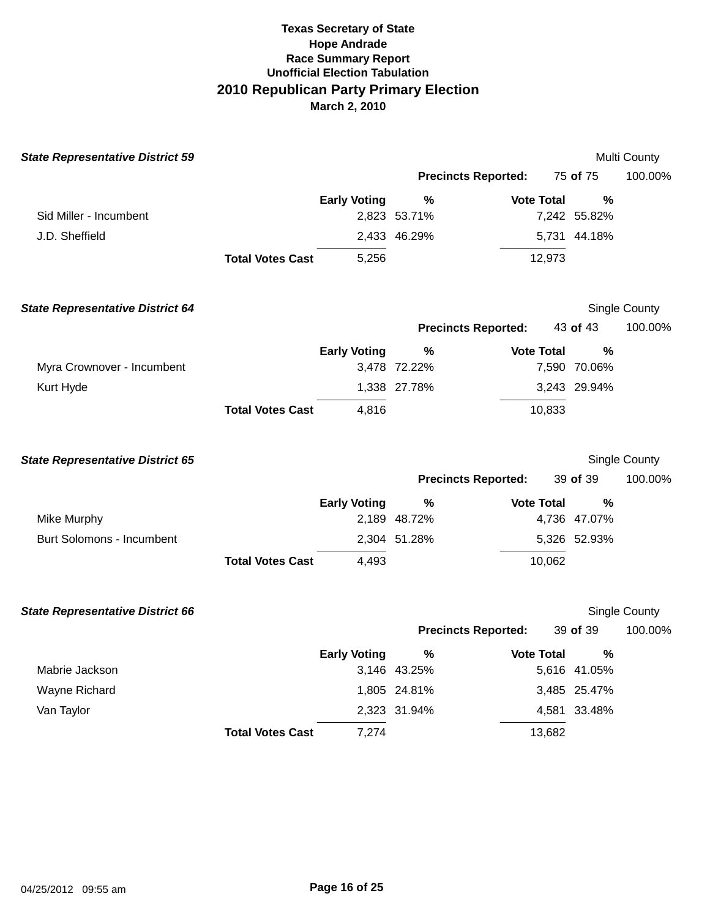| <b>State Representative District 59</b> |                         |                     |                            |                   |              | Multi County  |
|-----------------------------------------|-------------------------|---------------------|----------------------------|-------------------|--------------|---------------|
|                                         |                         |                     | <b>Precincts Reported:</b> |                   | 75 of 75     | 100.00%       |
|                                         |                         | <b>Early Voting</b> | %                          | <b>Vote Total</b> | %            |               |
| Sid Miller - Incumbent                  |                         |                     | 2,823 53.71%               |                   | 7,242 55.82% |               |
| J.D. Sheffield                          |                         |                     | 2,433 46.29%               |                   | 5,731 44.18% |               |
|                                         | <b>Total Votes Cast</b> | 5,256               |                            | 12,973            |              |               |
| <b>State Representative District 64</b> |                         |                     |                            |                   |              | Single County |
|                                         |                         |                     | <b>Precincts Reported:</b> |                   | 43 of 43     | 100.00%       |
|                                         |                         | <b>Early Voting</b> | %                          | <b>Vote Total</b> | %            |               |
| Myra Crownover - Incumbent              |                         |                     | 3,478 72.22%               |                   | 7,590 70.06% |               |
| Kurt Hyde                               |                         |                     | 1,338 27.78%               |                   | 3,243 29.94% |               |
|                                         | <b>Total Votes Cast</b> | 4,816               |                            | 10,833            |              |               |
| <b>State Representative District 65</b> |                         |                     |                            |                   |              | Single County |
|                                         |                         |                     | <b>Precincts Reported:</b> |                   | 39 of 39     | 100.00%       |
|                                         |                         | <b>Early Voting</b> | %                          | <b>Vote Total</b> | %            |               |
| <b>Mike Murphy</b>                      |                         |                     | 2,189 48.72%               |                   | 4,736 47.07% |               |
| <b>Burt Solomons - Incumbent</b>        |                         |                     | 2,304 51.28%               |                   | 5,326 52.93% |               |
|                                         | <b>Total Votes Cast</b> | 4,493               |                            | 10,062            |              |               |
| <b>State Representative District 66</b> |                         |                     |                            |                   |              | Single County |
|                                         |                         |                     | <b>Precincts Reported:</b> |                   | 39 of 39     | 100.00%       |
|                                         |                         | <b>Early Voting</b> | %                          | <b>Vote Total</b> | %            |               |
| Mabrie Jackson                          |                         |                     | 3,146 43.25%               |                   | 5,616 41.05% |               |
| Wayne Richard                           |                         |                     | 1,805 24.81%               |                   | 3,485 25.47% |               |
| Van Taylor                              |                         |                     | 2,323 31.94%               |                   | 4,581 33.48% |               |
|                                         | <b>Total Votes Cast</b> | 7,274               |                            | 13,682            |              |               |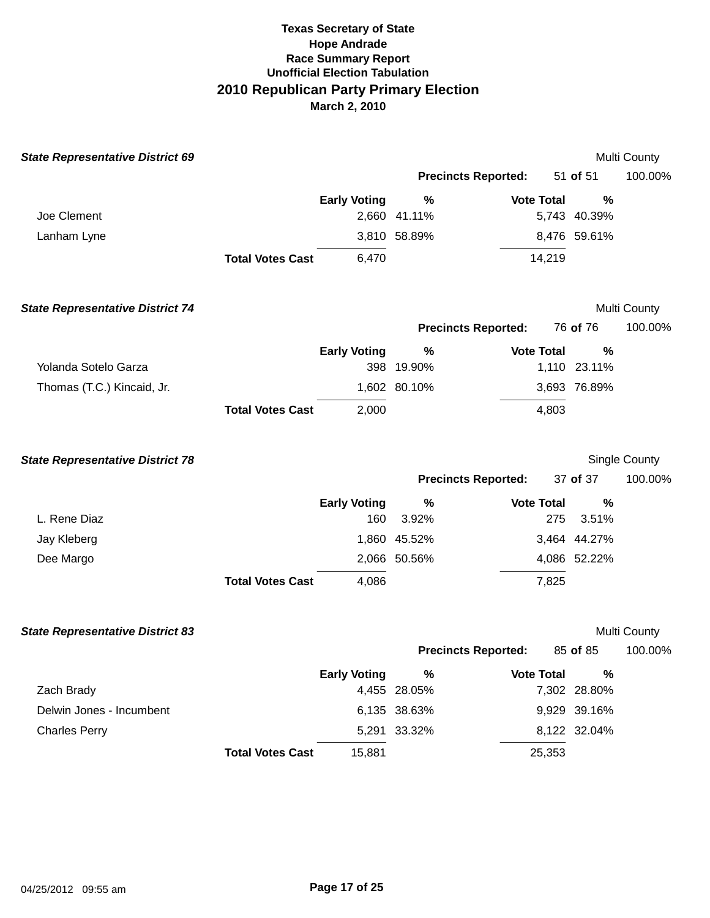| <b>State Representative District 69</b> |                         |                     |                            |                   |                   | Multi County  |
|-----------------------------------------|-------------------------|---------------------|----------------------------|-------------------|-------------------|---------------|
|                                         |                         |                     | <b>Precincts Reported:</b> |                   | 51 of 51          | 100.00%       |
|                                         |                         | <b>Early Voting</b> | $\%$                       | <b>Vote Total</b> | %                 |               |
| Joe Clement                             |                         |                     | 2,660 41.11%               |                   | 5,743 40.39%      |               |
| Lanham Lyne                             |                         |                     | 3,810 58.89%               |                   | 8,476 59.61%      |               |
|                                         | <b>Total Votes Cast</b> | 6,470               |                            | 14,219            |                   |               |
| <b>State Representative District 74</b> |                         |                     |                            |                   |                   | Multi County  |
|                                         |                         |                     | <b>Precincts Reported:</b> |                   | 76 of 76          | 100.00%       |
|                                         |                         | <b>Early Voting</b> | %                          | <b>Vote Total</b> | %                 |               |
| Yolanda Sotelo Garza                    |                         |                     | 398 19.90%                 |                   | 1,110 23.11%      |               |
| Thomas (T.C.) Kincaid, Jr.              |                         |                     | 1,602 80.10%               |                   | 3,693 76.89%      |               |
|                                         | <b>Total Votes Cast</b> | 2,000               |                            | 4,803             |                   |               |
| <b>State Representative District 78</b> |                         |                     |                            |                   |                   | Single County |
|                                         |                         |                     | <b>Precincts Reported:</b> |                   | 37 of 37          | 100.00%       |
|                                         |                         | <b>Early Voting</b> | $\%$                       | <b>Vote Total</b> | %                 |               |
| L. Rene Diaz                            |                         | 160                 | 3.92%                      | 275               | 3.51%             |               |
| Jay Kleberg                             |                         |                     | 1,860 45.52%               |                   | 3,464 44.27%      |               |
| Dee Margo                               |                         |                     | 2,066 50.56%               |                   | 4,086 52.22%      |               |
|                                         | <b>Total Votes Cast</b> | 4,086               |                            | 7,825             |                   |               |
| <b>State Representative District 83</b> |                         |                     |                            |                   |                   | Multi County  |
|                                         |                         |                     | <b>Precincts Reported:</b> |                   | 85 of 85          | 100.00%       |
| Zach Brady                              |                         | <b>Early Voting</b> | %<br>4,455 28.05%          | <b>Vote Total</b> | %<br>7,302 28.80% |               |
| Delwin Jones - Incumbent                |                         |                     | 6,135 38.63%               |                   | 9,929 39.16%      |               |
| <b>Charles Perry</b>                    |                         |                     | 5,291 33.32%               |                   | 8,122 32.04%      |               |
|                                         | <b>Total Votes Cast</b> | 15,881              |                            | 25,353            |                   |               |
|                                         |                         |                     |                            |                   |                   |               |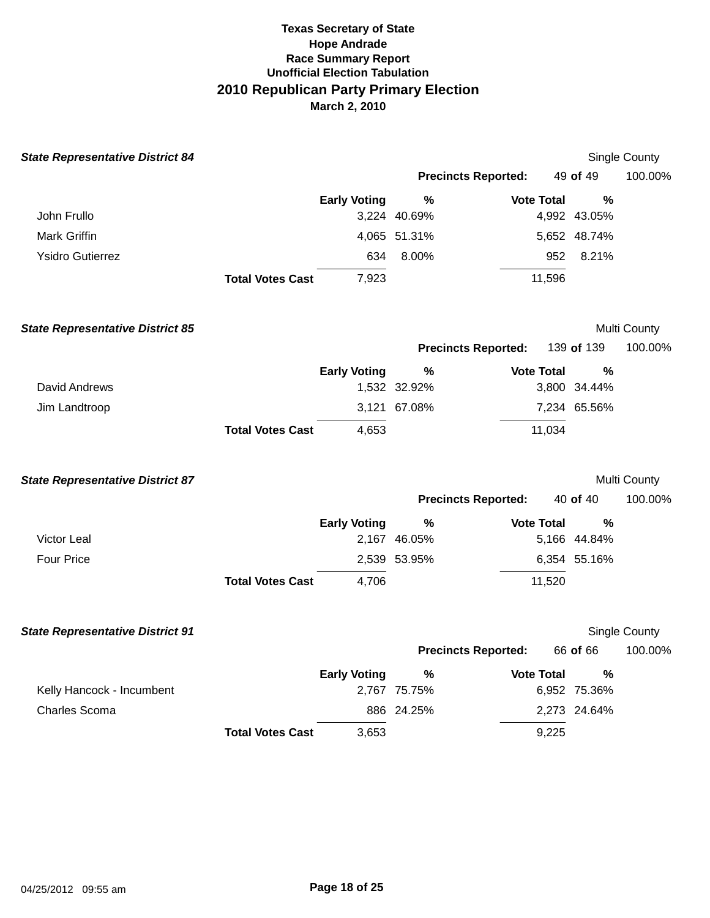| <b>State Representative District 84</b> |                         |                     |                            |                   |                   | <b>Single County</b> |
|-----------------------------------------|-------------------------|---------------------|----------------------------|-------------------|-------------------|----------------------|
|                                         |                         |                     | <b>Precincts Reported:</b> |                   | 49 of 49          | 100.00%              |
| John Frullo                             |                         | <b>Early Voting</b> | %<br>3,224 40.69%          | <b>Vote Total</b> | %<br>4,992 43.05% |                      |
| Mark Griffin                            |                         |                     | 4,065 51.31%               |                   | 5,652 48.74%      |                      |
| <b>Ysidro Gutierrez</b>                 |                         | 634                 | 8.00%                      | 952               | 8.21%             |                      |
|                                         | <b>Total Votes Cast</b> | 7,923               |                            | 11,596            |                   |                      |
| <b>State Representative District 85</b> |                         |                     |                            |                   |                   | Multi County         |
|                                         |                         |                     | <b>Precincts Reported:</b> |                   | 139 of 139        | 100.00%              |
| David Andrews                           |                         | <b>Early Voting</b> | %<br>1,532 32.92%          | <b>Vote Total</b> | %<br>3,800 34.44% |                      |
| Jim Landtroop                           |                         |                     | 3,121 67.08%               |                   | 7,234 65.56%      |                      |
|                                         | <b>Total Votes Cast</b> | 4,653               |                            | 11,034            |                   |                      |
| <b>State Representative District 87</b> |                         |                     |                            |                   |                   | Multi County         |
|                                         |                         |                     | <b>Precincts Reported:</b> |                   | 40 of 40          | 100.00%              |
|                                         |                         | <b>Early Voting</b> | %                          | <b>Vote Total</b> | %                 |                      |
| Victor Leal                             |                         |                     | 2,167 46.05%               |                   | 5,166 44.84%      |                      |
| <b>Four Price</b>                       |                         |                     | 2,539 53.95%               |                   | 6,354 55.16%      |                      |
|                                         | <b>Total Votes Cast</b> | 4,706               |                            | 11,520            |                   |                      |
| <b>State Representative District 91</b> |                         |                     |                            |                   |                   | Single County        |
|                                         |                         |                     | <b>Precincts Reported:</b> |                   | 66 of 66          | 100.00%              |
| Kelly Hancock - Incumbent               |                         | <b>Early Voting</b> | %<br>2,767 75.75%          | <b>Vote Total</b> | %<br>6,952 75.36% |                      |
| <b>Charles Scoma</b>                    |                         |                     | 886 24.25%                 |                   | 2,273 24.64%      |                      |
|                                         | <b>Total Votes Cast</b> | 3,653               |                            | 9,225             |                   |                      |
|                                         |                         |                     |                            |                   |                   |                      |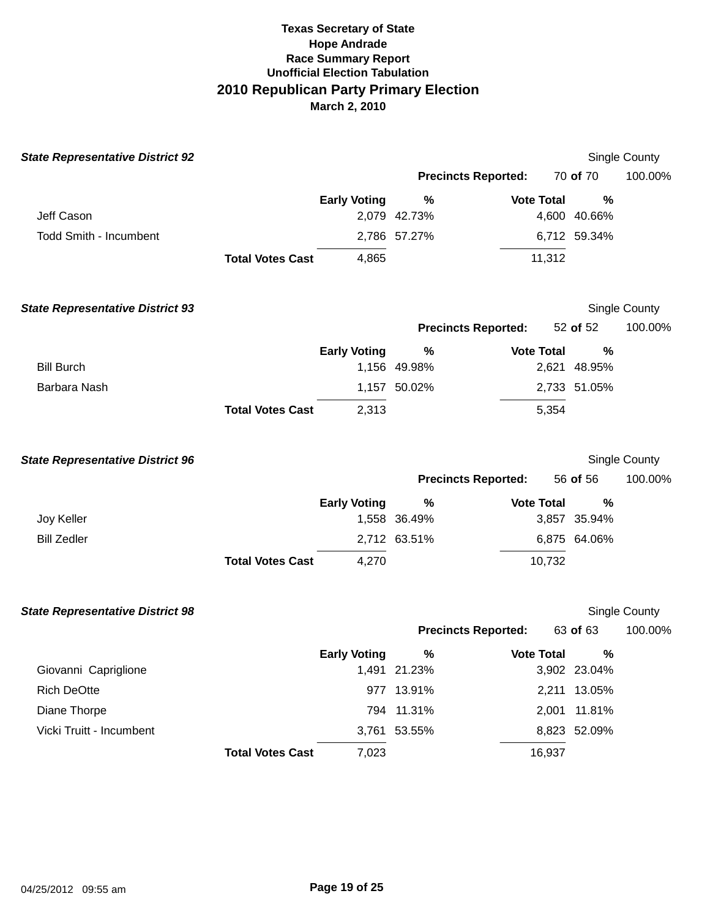| <b>State Representative District 92</b> |                         |                     |                            |                   |                   | Single County |
|-----------------------------------------|-------------------------|---------------------|----------------------------|-------------------|-------------------|---------------|
|                                         |                         |                     | <b>Precincts Reported:</b> |                   | 70 of 70          | 100.00%       |
|                                         |                         | <b>Early Voting</b> | $\%$                       | <b>Vote Total</b> | %                 |               |
| Jeff Cason                              |                         |                     | 2,079 42.73%               |                   | 4,600 40.66%      |               |
| <b>Todd Smith - Incumbent</b>           |                         |                     | 2,786 57.27%               |                   | 6,712 59.34%      |               |
|                                         | <b>Total Votes Cast</b> | 4,865               |                            | 11,312            |                   |               |
| <b>State Representative District 93</b> |                         |                     |                            |                   |                   | Single County |
|                                         |                         |                     | <b>Precincts Reported:</b> |                   | 52 of 52          | 100.00%       |
| <b>Bill Burch</b>                       |                         | <b>Early Voting</b> | %<br>1,156 49.98%          | <b>Vote Total</b> | %<br>2,621 48.95% |               |
| Barbara Nash                            |                         |                     | 1,157 50.02%               |                   | 2,733 51.05%      |               |
|                                         | <b>Total Votes Cast</b> | 2,313               |                            | 5,354             |                   |               |
| <b>State Representative District 96</b> |                         |                     |                            |                   |                   | Single County |
|                                         |                         |                     | <b>Precincts Reported:</b> |                   | 56 of 56          | 100.00%       |
|                                         |                         | <b>Early Voting</b> | %                          | <b>Vote Total</b> | %                 |               |
| Joy Keller                              |                         |                     | 1,558 36.49%               |                   | 3,857 35.94%      |               |
| <b>Bill Zedler</b>                      |                         |                     | 2,712 63.51%               |                   | 6,875 64.06%      |               |
|                                         | <b>Total Votes Cast</b> | 4,270               |                            | 10,732            |                   |               |
| <b>State Representative District 98</b> |                         |                     |                            |                   |                   | Single County |
|                                         |                         |                     | <b>Precincts Reported:</b> |                   | 63 of 63          | 100.00%       |
| Giovanni Capriglione                    |                         | <b>Early Voting</b> | %<br>1,491 21.23%          | <b>Vote Total</b> | %<br>3,902 23.04% |               |
| <b>Rich DeOtte</b>                      |                         |                     | 977 13.91%                 |                   | 2,211 13.05%      |               |
| Diane Thorpe                            |                         |                     | 794 11.31%                 |                   | 2,001 11.81%      |               |
| Vicki Truitt - Incumbent                |                         |                     | 3,761 53.55%               |                   | 8,823 52.09%      |               |
|                                         | <b>Total Votes Cast</b> | 7,023               |                            | 16,937            |                   |               |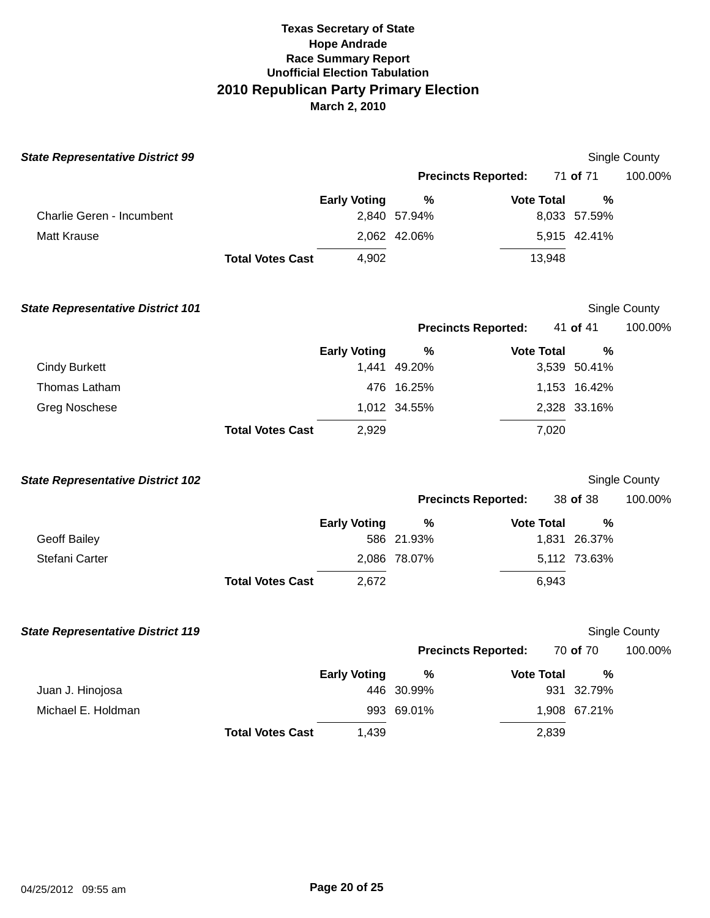| <b>State Representative District 99</b>  |                         |                     |                            |                   |                   | Single County |
|------------------------------------------|-------------------------|---------------------|----------------------------|-------------------|-------------------|---------------|
|                                          |                         |                     | <b>Precincts Reported:</b> |                   | 71 of 71          | 100.00%       |
| Charlie Geren - Incumbent                |                         | <b>Early Voting</b> | $\%$<br>2,840 57.94%       | <b>Vote Total</b> | %<br>8,033 57.59% |               |
| <b>Matt Krause</b>                       |                         |                     | 2,062 42.06%               |                   | 5,915 42.41%      |               |
|                                          | <b>Total Votes Cast</b> | 4,902               |                            | 13,948            |                   |               |
| <b>State Representative District 101</b> |                         |                     |                            |                   |                   | Single County |
|                                          |                         |                     | <b>Precincts Reported:</b> |                   | 41 of 41          | 100.00%       |
| <b>Cindy Burkett</b>                     |                         | <b>Early Voting</b> | $\%$<br>1,441 49.20%       | <b>Vote Total</b> | %<br>3,539 50.41% |               |
| Thomas Latham                            |                         |                     | 476 16.25%                 |                   | 1,153 16.42%      |               |
| <b>Greg Noschese</b>                     |                         |                     | 1,012 34.55%               |                   | 2,328 33.16%      |               |
|                                          | <b>Total Votes Cast</b> | 2,929               |                            | 7,020             |                   |               |
| <b>State Representative District 102</b> |                         |                     |                            |                   |                   | Single County |
|                                          |                         |                     | <b>Precincts Reported:</b> |                   | 38 of 38          | 100.00%       |
|                                          |                         | <b>Early Voting</b> | $\%$                       | <b>Vote Total</b> | %                 |               |
| <b>Geoff Bailey</b>                      |                         |                     | 586 21.93%                 |                   | 1,831 26.37%      |               |
| Stefani Carter                           |                         |                     | 2,086 78.07%               |                   | 5,112 73.63%      |               |
|                                          | <b>Total Votes Cast</b> | 2,672               |                            | 6,943             |                   |               |
| <b>State Representative District 119</b> |                         |                     |                            |                   |                   | Single County |
|                                          |                         |                     | <b>Precincts Reported:</b> |                   | 70 of 70          | 100.00%       |
|                                          |                         | <b>Early Voting</b> | %                          | <b>Vote Total</b> | %                 |               |
| Juan J. Hinojosa                         |                         |                     | 446 30.99%                 |                   | 931 32.79%        |               |
| Michael E. Holdman                       |                         |                     | 993 69.01%                 |                   | 1,908 67.21%      |               |
|                                          | <b>Total Votes Cast</b> | 1,439               |                            | 2,839             |                   |               |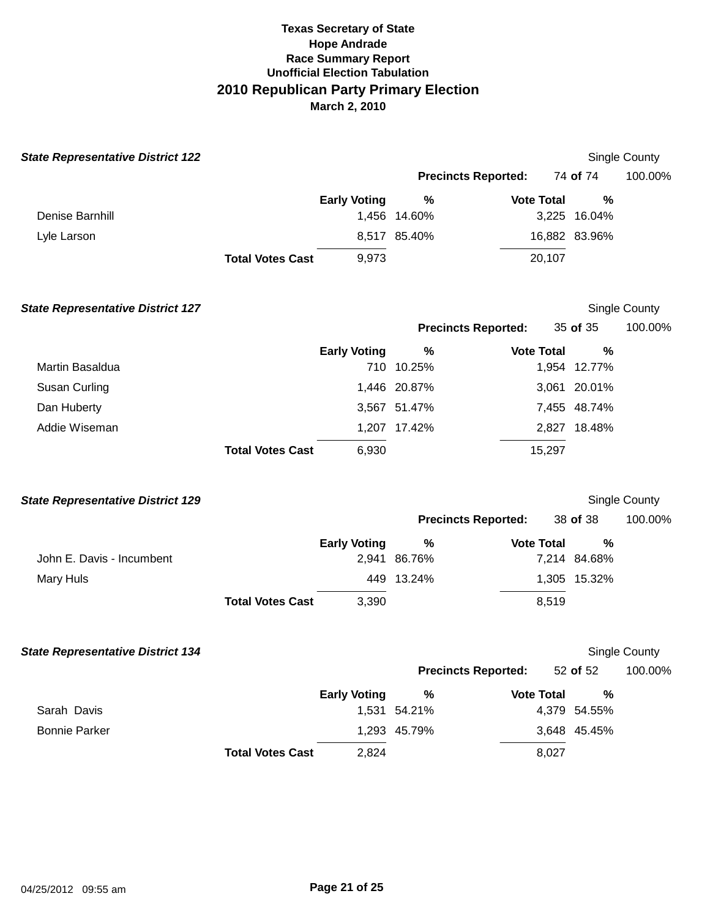| <b>State Representative District 122</b> |                         |                     |                            |                   |                   | Single County        |
|------------------------------------------|-------------------------|---------------------|----------------------------|-------------------|-------------------|----------------------|
|                                          |                         |                     | <b>Precincts Reported:</b> |                   | 74 of 74          | 100.00%              |
|                                          |                         | <b>Early Voting</b> | $\%$                       | <b>Vote Total</b> | %                 |                      |
| Denise Barnhill                          |                         |                     | 1,456 14.60%               |                   | 3,225 16.04%      |                      |
| Lyle Larson                              |                         |                     | 8,517 85.40%               |                   | 16,882 83.96%     |                      |
|                                          | <b>Total Votes Cast</b> | 9,973               |                            | 20,107            |                   |                      |
| <b>State Representative District 127</b> |                         |                     |                            |                   |                   | Single County        |
|                                          |                         |                     | <b>Precincts Reported:</b> |                   | 35 of 35          | 100.00%              |
| Martin Basaldua                          |                         | <b>Early Voting</b> | %<br>710 10.25%            | <b>Vote Total</b> | %<br>1,954 12.77% |                      |
| Susan Curling                            |                         |                     | 1,446 20.87%               |                   | 3,061 20.01%      |                      |
| Dan Huberty                              |                         |                     | 3,567 51.47%               |                   | 7,455 48.74%      |                      |
| Addie Wiseman                            |                         |                     | 1,207 17.42%               |                   | 2,827 18.48%      |                      |
|                                          | <b>Total Votes Cast</b> | 6,930               |                            | 15,297            |                   |                      |
| <b>State Representative District 129</b> |                         |                     |                            |                   |                   | Single County        |
|                                          |                         |                     | <b>Precincts Reported:</b> |                   | 38 of 38          | 100.00%              |
|                                          |                         | <b>Early Voting</b> | $\%$                       | <b>Vote Total</b> | %                 |                      |
| John E. Davis - Incumbent                |                         |                     | 2,941 86.76%               |                   | 7,214 84.68%      |                      |
| <b>Mary Huls</b>                         |                         |                     | 449 13.24%                 |                   | 1,305 15.32%      |                      |
|                                          | <b>Total Votes Cast</b> | 3,390               |                            | 8,519             |                   |                      |
| <b>State Representative District 134</b> |                         |                     |                            |                   |                   | <b>Single County</b> |
|                                          |                         |                     | <b>Precincts Reported:</b> |                   | 52 of 52          | 100.00%              |
|                                          |                         | <b>Early Voting</b> | %                          | <b>Vote Total</b> | $\%$              |                      |
| Sarah Davis                              |                         |                     | 1,531 54.21%               |                   | 4,379 54.55%      |                      |
| <b>Bonnie Parker</b>                     |                         |                     | 1,293 45.79%               |                   | 3,648 45.45%      |                      |
|                                          | <b>Total Votes Cast</b> | 2,824               |                            | 8,027             |                   |                      |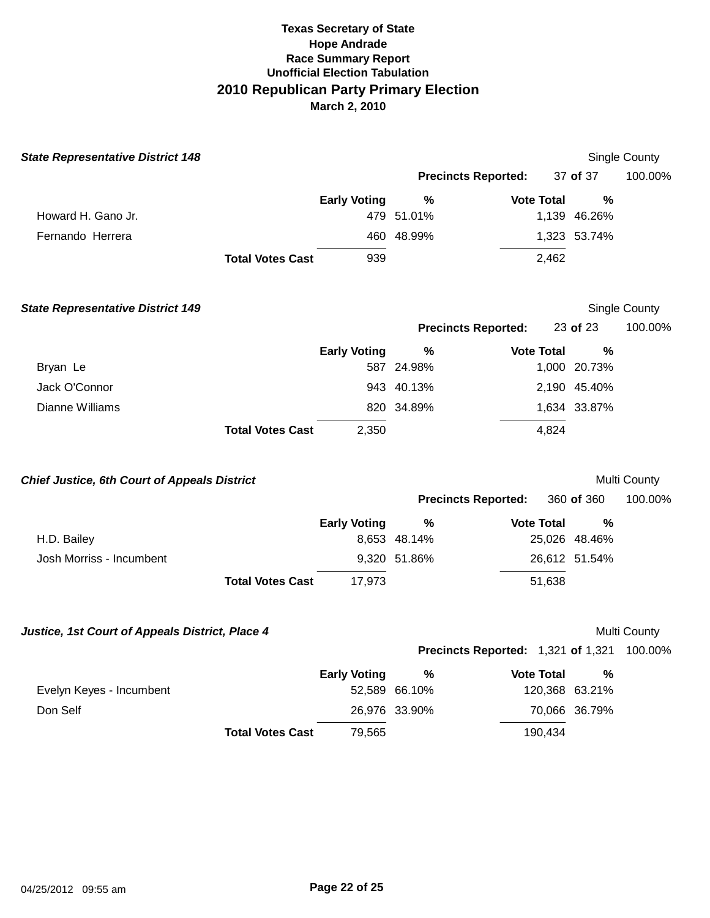| <b>State Representative District 148</b>            |                         |                     |               |                                    |                | Single County |
|-----------------------------------------------------|-------------------------|---------------------|---------------|------------------------------------|----------------|---------------|
|                                                     |                         |                     |               | <b>Precincts Reported:</b>         | 37 of 37       | 100.00%       |
|                                                     |                         | <b>Early Voting</b> | %             | <b>Vote Total</b>                  | $\%$           |               |
| Howard H. Gano Jr.                                  |                         |                     | 479 51.01%    |                                    | 1,139 46.26%   |               |
| Fernando Herrera                                    |                         |                     | 460 48.99%    |                                    | 1,323 53.74%   |               |
|                                                     | <b>Total Votes Cast</b> | 939                 |               | 2,462                              |                |               |
| <b>State Representative District 149</b>            |                         |                     |               |                                    |                | Single County |
|                                                     |                         |                     |               | <b>Precincts Reported:</b>         | 23 of 23       | 100.00%       |
|                                                     |                         | <b>Early Voting</b> | $\%$          | <b>Vote Total</b>                  | $\%$           |               |
| Bryan Le                                            |                         |                     | 587 24.98%    |                                    | 1,000 20.73%   |               |
| Jack O'Connor                                       |                         |                     | 943 40.13%    |                                    | 2,190 45.40%   |               |
| Dianne Williams                                     |                         |                     | 820 34.89%    |                                    | 1,634 33.87%   |               |
|                                                     | <b>Total Votes Cast</b> | 2,350               |               | 4,824                              |                |               |
| <b>Chief Justice, 6th Court of Appeals District</b> |                         |                     |               |                                    |                | Multi County  |
|                                                     |                         |                     |               | <b>Precincts Reported:</b>         | 360 of 360     | 100.00%       |
|                                                     |                         | <b>Early Voting</b> | %             | <b>Vote Total</b>                  | $\%$           |               |
| H.D. Bailey                                         |                         |                     | 8,653 48.14%  |                                    | 25,026 48.46%  |               |
| Josh Morriss - Incumbent                            |                         |                     | 9,320 51.86%  |                                    | 26,612 51.54%  |               |
|                                                     | <b>Total Votes Cast</b> | 17,973              |               | 51,638                             |                |               |
| Justice, 1st Court of Appeals District, Place 4     |                         |                     |               |                                    |                | Multi County  |
|                                                     |                         |                     |               | Precincts Reported: 1,321 of 1,321 |                | 100.00%       |
|                                                     |                         | <b>Early Voting</b> | %             | <b>Vote Total</b>                  | %              |               |
| Evelyn Keyes - Incumbent                            |                         |                     | 52,589 66.10% |                                    | 120,368 63.21% |               |
| Don Self                                            |                         |                     | 26,976 33.90% |                                    | 70,066 36.79%  |               |
|                                                     | <b>Total Votes Cast</b> | 79,565              |               | 190,434                            |                |               |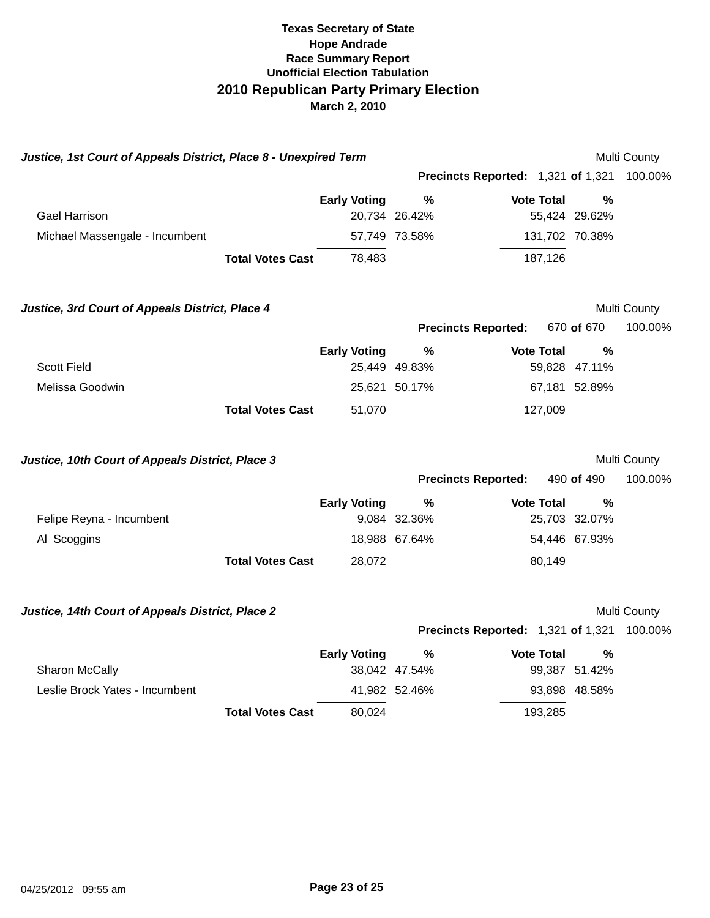| Justice, 1st Court of Appeals District, Place 8 - Unexpired Term |                     | Multi County                                      |                   |                |              |
|------------------------------------------------------------------|---------------------|---------------------------------------------------|-------------------|----------------|--------------|
|                                                                  |                     | Precincts Reported: 1,321 of 1,321                |                   |                | 100.00%      |
|                                                                  | <b>Early Voting</b> | $\%$                                              | <b>Vote Total</b> | %              |              |
| <b>Gael Harrison</b>                                             |                     | 20,734 26.42%                                     |                   | 55,424 29.62%  |              |
| Michael Massengale - Incumbent                                   |                     | 57,749 73.58%                                     |                   | 131,702 70.38% |              |
| <b>Total Votes Cast</b>                                          | 78,483              |                                                   | 187,126           |                |              |
| Justice, 3rd Court of Appeals District, Place 4                  |                     |                                                   |                   |                | Multi County |
|                                                                  |                     | <b>Precincts Reported:</b>                        |                   | 670 of 670     | 100.00%      |
|                                                                  | <b>Early Voting</b> | %                                                 | <b>Vote Total</b> | $\%$           |              |
| <b>Scott Field</b>                                               |                     | 25,449 49.83%                                     |                   | 59,828 47.11%  |              |
| Melissa Goodwin                                                  |                     | 25,621 50.17%                                     |                   | 67,181 52.89%  |              |
| <b>Total Votes Cast</b>                                          | 51,070              |                                                   | 127,009           |                |              |
| Justice, 10th Court of Appeals District, Place 3                 |                     |                                                   |                   |                | Multi County |
|                                                                  |                     | <b>Precincts Reported:</b>                        |                   | 490 of 490     | 100.00%      |
|                                                                  | <b>Early Voting</b> | $\%$                                              | <b>Vote Total</b> | $\%$           |              |
| Felipe Reyna - Incumbent                                         |                     | 9,084 32.36%                                      |                   | 25,703 32.07%  |              |
| Al Scoggins                                                      |                     | 18,988 67.64%                                     |                   | 54,446 67.93%  |              |
| <b>Total Votes Cast</b>                                          | 28,072              |                                                   | 80,149            |                |              |
| Justice, 14th Court of Appeals District, Place 2                 |                     |                                                   |                   |                | Multi County |
|                                                                  |                     | <b>Precincts Reported: 1,321 of 1,321 100.00%</b> |                   |                |              |
|                                                                  | <b>Early Voting</b> | $\frac{0}{0}$                                     | <b>Vote Total</b> | %              |              |
| Sharon McCally                                                   |                     | 38,042 47.54%                                     |                   | 99,387 51.42%  |              |
| Leslie Brock Yates - Incumbent                                   |                     | 41,982 52.46%                                     |                   | 93,898 48.58%  |              |
| <b>Total Votes Cast</b>                                          | 80,024              |                                                   | 193,285           |                |              |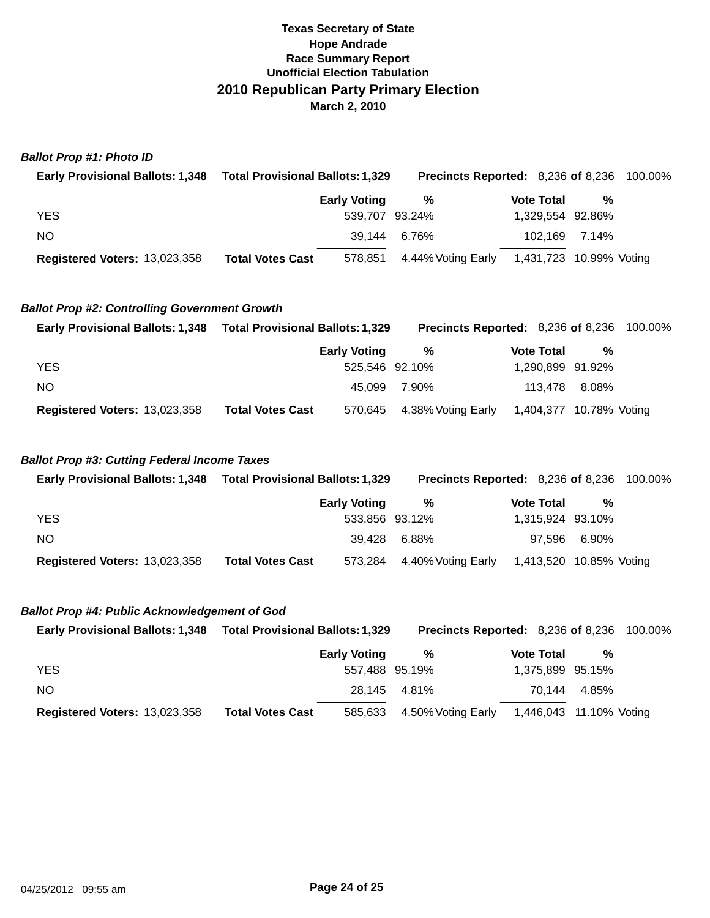### **Ballot Prop #1: Photo ID**

| <b>Early Provisional Ballots: 1,348</b> | <b>Total Provisional Ballots: 1,329</b> |                            | <b>Precincts Reported: 8,236 of 8,236 100.00%</b> |                  |  |
|-----------------------------------------|-----------------------------------------|----------------------------|---------------------------------------------------|------------------|--|
|                                         | <b>Early Voting</b>                     | %                          | <b>Vote Total</b>                                 | %                |  |
| <b>YES</b>                              |                                         | 539.707 93.24%             |                                                   | 1,329,554 92.86% |  |
| NO.                                     |                                         | 39.144 6.76%               |                                                   | 102.169 7.14%    |  |
| <b>Registered Voters: 13,023,358</b>    | <b>Total Votes Cast</b>                 | 578,851 4.44% Voting Early | 1,431,723 10.99% Voting                           |                  |  |

### **Ballot Prop #2: Controlling Government Growth**

| <b>Early Provisional Ballots: 1,348</b> | <b>Total Provisional Ballots: 1,329</b> |                     |                            | <b>Precincts Reported: 8,236 of 8,236 100.00%</b> |                  |  |
|-----------------------------------------|-----------------------------------------|---------------------|----------------------------|---------------------------------------------------|------------------|--|
|                                         |                                         | <b>Early Voting</b> | %                          | <b>Vote Total</b>                                 | %                |  |
| <b>YES</b>                              |                                         | 525.546 92.10%      |                            |                                                   | 1,290,899 91.92% |  |
| NO.                                     |                                         | 45.099              | 7.90%                      | 113.478                                           | 8.08%            |  |
| <b>Registered Voters: 13,023,358</b>    | <b>Total Votes Cast</b>                 |                     | 570,645 4.38% Voting Early |                                                   |                  |  |

### **Ballot Prop #3: Cutting Federal Income Taxes**

| <b>Early Provisional Ballots: 1,348</b> | <b>Total Provisional Ballots: 1,329</b> | <b>Precincts Reported: 8,236 of 8,236 100.00%</b> |                         |              |  |
|-----------------------------------------|-----------------------------------------|---------------------------------------------------|-------------------------|--------------|--|
|                                         | <b>Early Voting</b>                     | %                                                 | <b>Vote Total</b>       | %            |  |
| <b>YES</b>                              |                                         | 533,856 93.12%                                    | 1,315,924 93.10%        |              |  |
| NO.                                     | 39.428                                  | 6.88%                                             |                         | 97.596 6.90% |  |
| <b>Registered Voters: 13,023,358</b>    | <b>Total Votes Cast</b>                 | 573,284 4.40% Voting Early                        | 1,413,520 10.85% Voting |              |  |

### **Ballot Prop #4: Public Acknowledgement of God**

| <b>Early Provisional Ballots: 1,348</b> | <b>Total Provisional Ballots: 1,329</b> | <b>Precincts Reported: 8,236 of 8,236 100.00%</b> |                         |              |  |
|-----------------------------------------|-----------------------------------------|---------------------------------------------------|-------------------------|--------------|--|
|                                         | <b>Early Voting</b>                     | %                                                 | <b>Vote Total</b>       | %            |  |
| <b>YES</b>                              |                                         | 557,488 95.19%                                    | 1,375,899 95.15%        |              |  |
| NO.                                     |                                         | 28.145 4.81%                                      |                         | 70.144 4.85% |  |
| <b>Registered Voters: 13,023,358</b>    | <b>Total Votes Cast</b><br>585,633      | 4.50% Voting Early                                | 1,446,043 11.10% Voting |              |  |